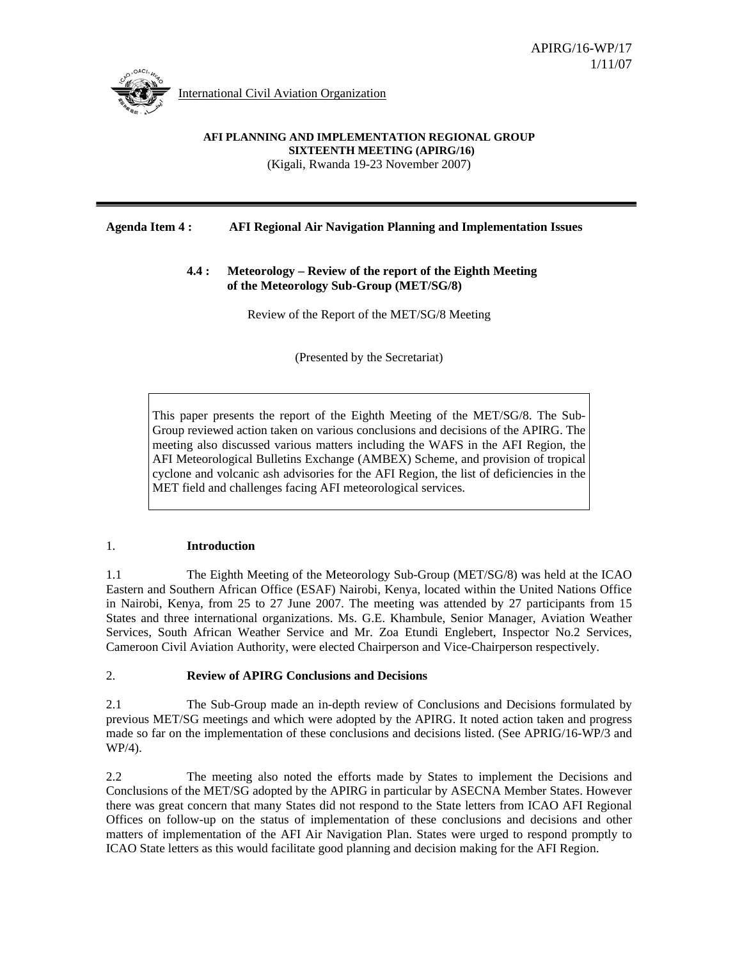

International Civil Aviation Organization

#### **AFI PLANNING AND IMPLEMENTATION REGIONAL GROUP SIXTEENTH MEETING (APIRG/16)**  (Kigali, Rwanda 19-23 November 2007)

## **Agenda Item 4 : AFI Regional Air Navigation Planning and Implementation Issues**

## **4.4 : Meteorology – Review of the report of the Eighth Meeting of the Meteorology Sub-Group (MET/SG/8)**

Review of the Report of the MET/SG/8 Meeting

(Presented by the Secretariat)

This paper presents the report of the Eighth Meeting of the MET/SG/8. The Sub-Group reviewed action taken on various conclusions and decisions of the APIRG. The meeting also discussed various matters including the WAFS in the AFI Region, the AFI Meteorological Bulletins Exchange (AMBEX) Scheme, and provision of tropical cyclone and volcanic ash advisories for the AFI Region, the list of deficiencies in the MET field and challenges facing AFI meteorological services.

## 1. **Introduction**

1.1 The Eighth Meeting of the Meteorology Sub-Group (MET/SG/8) was held at the ICAO Eastern and Southern African Office (ESAF) Nairobi, Kenya, located within the United Nations Office in Nairobi, Kenya, from 25 to 27 June 2007. The meeting was attended by 27 participants from 15 States and three international organizations. Ms. G.E. Khambule, Senior Manager, Aviation Weather Services, South African Weather Service and Mr. Zoa Etundi Englebert, Inspector No.2 Services, Cameroon Civil Aviation Authority, were elected Chairperson and Vice-Chairperson respectively.

## 2. **Review of APIRG Conclusions and Decisions**

2.1 The Sub-Group made an in-depth review of Conclusions and Decisions formulated by previous MET/SG meetings and which were adopted by the APIRG. It noted action taken and progress made so far on the implementation of these conclusions and decisions listed. (See APRIG/16-WP/3 and WP/4).

2.2 The meeting also noted the efforts made by States to implement the Decisions and Conclusions of the MET/SG adopted by the APIRG in particular by ASECNA Member States. However there was great concern that many States did not respond to the State letters from ICAO AFI Regional Offices on follow-up on the status of implementation of these conclusions and decisions and other matters of implementation of the AFI Air Navigation Plan. States were urged to respond promptly to ICAO State letters as this would facilitate good planning and decision making for the AFI Region.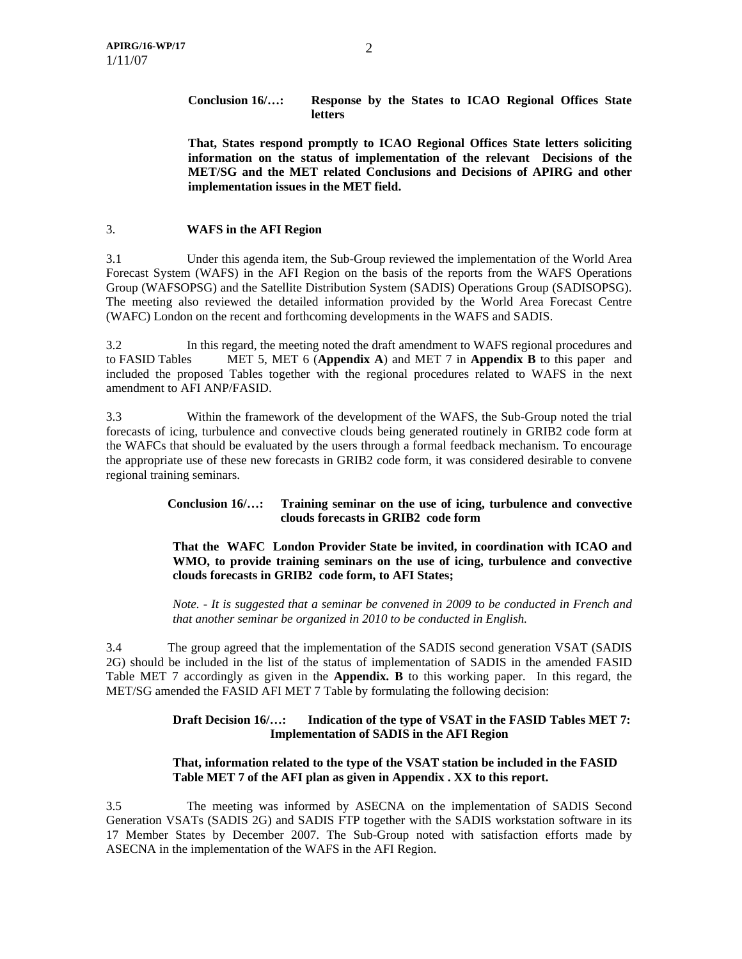## **Conclusion 16/…: Response by the States to ICAO Regional Offices State letters**

**That, States respond promptly to ICAO Regional Offices State letters soliciting information on the status of implementation of the relevant Decisions of the MET/SG and the MET related Conclusions and Decisions of APIRG and other implementation issues in the MET field.** 

## 3. **WAFS in the AFI Region**

3.1 Under this agenda item, the Sub-Group reviewed the implementation of the World Area Forecast System (WAFS) in the AFI Region on the basis of the reports from the WAFS Operations Group (WAFSOPSG) and the Satellite Distribution System (SADIS) Operations Group (SADISOPSG). The meeting also reviewed the detailed information provided by the World Area Forecast Centre (WAFC) London on the recent and forthcoming developments in the WAFS and SADIS.

3.2 In this regard, the meeting noted the draft amendment to WAFS regional procedures and to FASID Tables MET 5, MET 6 (**Appendix A**) and MET 7 in **Appendix B** to this paper and included the proposed Tables together with the regional procedures related to WAFS in the next amendment to AFI ANP/FASID.

3.3 Within the framework of the development of the WAFS, the Sub-Group noted the trial forecasts of icing, turbulence and convective clouds being generated routinely in GRIB2 code form at the WAFCs that should be evaluated by the users through a formal feedback mechanism. To encourage the appropriate use of these new forecasts in GRIB2 code form, it was considered desirable to convene regional training seminars.

## **Conclusion 16/…: Training seminar on the use of icing, turbulence and convective clouds forecasts in GRIB2 code form**

#### **That the WAFC London Provider State be invited, in coordination with ICAO and WMO, to provide training seminars on the use of icing, turbulence and convective clouds forecasts in GRIB2 code form, to AFI States;**

*Note. - It is suggested that a seminar be convened in 2009 to be conducted in French and that another seminar be organized in 2010 to be conducted in English.* 

3.4 The group agreed that the implementation of the SADIS second generation VSAT (SADIS 2G) should be included in the list of the status of implementation of SADIS in the amended FASID Table MET 7 accordingly as given in the **Appendix. B** to this working paper. In this regard, the MET/SG amended the FASID AFI MET 7 Table by formulating the following decision:

#### **Draft Decision 16/…: Indication of the type of VSAT in the FASID Tables MET 7: Implementation of SADIS in the AFI Region**

## **That, information related to the type of the VSAT station be included in the FASID Table MET 7 of the AFI plan as given in Appendix . XX to this report.**

3.5 The meeting was informed by ASECNA on the implementation of SADIS Second Generation VSATs (SADIS 2G) and SADIS FTP together with the SADIS workstation software in its 17 Member States by December 2007. The Sub-Group noted with satisfaction efforts made by ASECNA in the implementation of the WAFS in the AFI Region.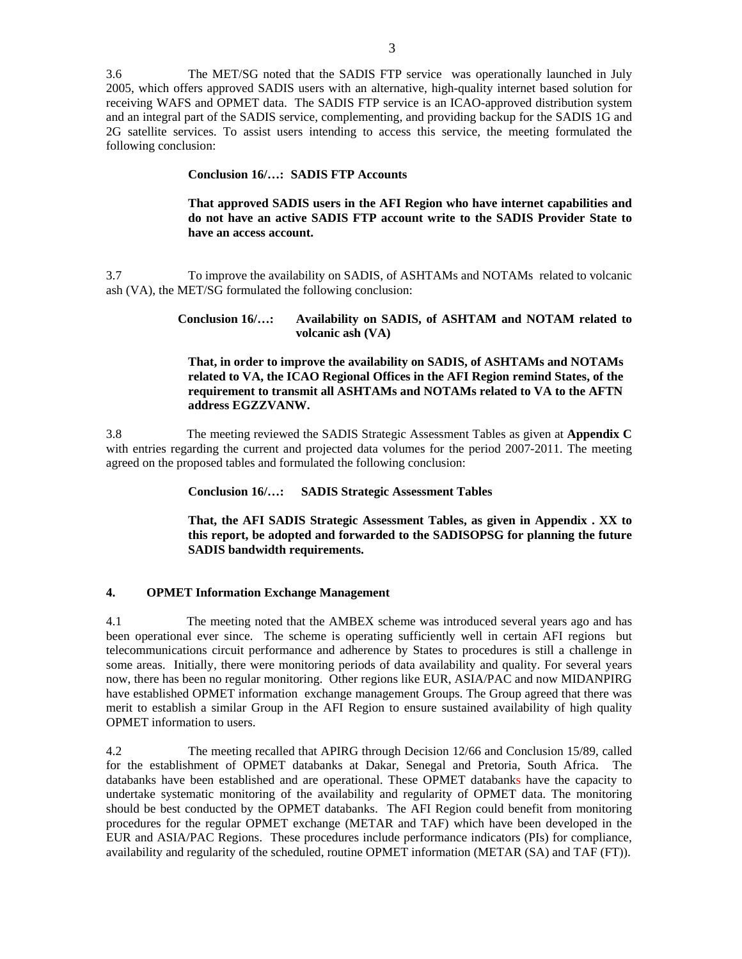3.6 The MET/SG noted that the SADIS FTP service was operationally launched in July 2005, which offers approved SADIS users with an alternative, high-quality internet based solution for receiving WAFS and OPMET data. The SADIS FTP service is an ICAO-approved distribution system and an integral part of the SADIS service, complementing, and providing backup for the SADIS 1G and 2G satellite services. To assist users intending to access this service, the meeting formulated the following conclusion:

#### **Conclusion 16/…: SADIS FTP Accounts**

**That approved SADIS users in the AFI Region who have internet capabilities and do not have an active SADIS FTP account write to the SADIS Provider State to have an access account.** 

3.7 To improve the availability on SADIS, of ASHTAMs and NOTAMs related to volcanic ash (VA), the MET/SG formulated the following conclusion:

#### **Conclusion 16/…: Availability on SADIS, of ASHTAM and NOTAM related to volcanic ash (VA)**

#### **That, in order to improve the availability on SADIS, of ASHTAMs and NOTAMs related to VA, the ICAO Regional Offices in the AFI Region remind States, of the requirement to transmit all ASHTAMs and NOTAMs related to VA to the AFTN address EGZZVANW.**

3.8 The meeting reviewed the SADIS Strategic Assessment Tables as given at **Appendix C**  with entries regarding the current and projected data volumes for the period 2007-2011. The meeting agreed on the proposed tables and formulated the following conclusion:

**Conclusion 16/…: SADIS Strategic Assessment Tables** 

**That, the AFI SADIS Strategic Assessment Tables, as given in Appendix . XX to this report, be adopted and forwarded to the SADISOPSG for planning the future SADIS bandwidth requirements.** 

#### **4. OPMET Information Exchange Management**

4.1 The meeting noted that the AMBEX scheme was introduced several years ago and has been operational ever since. The scheme is operating sufficiently well in certain AFI regions but telecommunications circuit performance and adherence by States to procedures is still a challenge in some areas. Initially, there were monitoring periods of data availability and quality. For several years now, there has been no regular monitoring. Other regions like EUR, ASIA/PAC and now MIDANPIRG have established OPMET information exchange management Groups. The Group agreed that there was merit to establish a similar Group in the AFI Region to ensure sustained availability of high quality OPMET information to users.

4.2 The meeting recalled that APIRG through Decision 12/66 and Conclusion 15/89, called for the establishment of OPMET databanks at Dakar, Senegal and Pretoria, South Africa. The databanks have been established and are operational. These OPMET databanks have the capacity to undertake systematic monitoring of the availability and regularity of OPMET data. The monitoring should be best conducted by the OPMET databanks. The AFI Region could benefit from monitoring procedures for the regular OPMET exchange (METAR and TAF) which have been developed in the EUR and ASIA/PAC Regions. These procedures include performance indicators (PIs) for compliance, availability and regularity of the scheduled, routine OPMET information (METAR (SA) and TAF (FT)).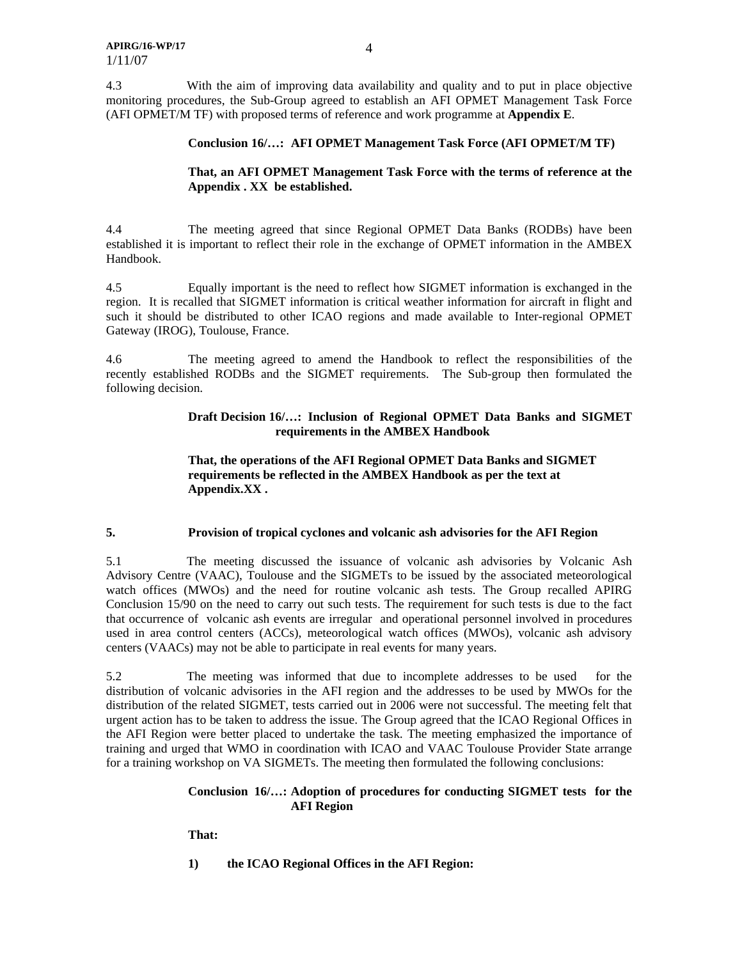4.3 With the aim of improving data availability and quality and to put in place objective monitoring procedures, the Sub-Group agreed to establish an AFI OPMET Management Task Force (AFI OPMET/M TF) with proposed terms of reference and work programme at **Appendix E**.

#### **Conclusion 16/…: AFI OPMET Management Task Force (AFI OPMET/M TF)**

#### **That, an AFI OPMET Management Task Force with the terms of reference at the Appendix . XX be established.**

4.4 The meeting agreed that since Regional OPMET Data Banks (RODBs) have been established it is important to reflect their role in the exchange of OPMET information in the AMBEX Handbook.

4.5 Equally important is the need to reflect how SIGMET information is exchanged in the region. It is recalled that SIGMET information is critical weather information for aircraft in flight and such it should be distributed to other ICAO regions and made available to Inter-regional OPMET Gateway (IROG), Toulouse, France.

4.6 The meeting agreed to amend the Handbook to reflect the responsibilities of the recently established RODBs and the SIGMET requirements. The Sub-group then formulated the following decision.

#### **Draft Decision 16/…: Inclusion of Regional OPMET Data Banks and SIGMET requirements in the AMBEX Handbook**

#### **That, the operations of the AFI Regional OPMET Data Banks and SIGMET requirements be reflected in the AMBEX Handbook as per the text at Appendix.XX .**

#### **5. Provision of tropical cyclones and volcanic ash advisories for the AFI Region**

5.1 The meeting discussed the issuance of volcanic ash advisories by Volcanic Ash Advisory Centre (VAAC), Toulouse and the SIGMETs to be issued by the associated meteorological watch offices (MWOs) and the need for routine volcanic ash tests. The Group recalled APIRG Conclusion 15/90 on the need to carry out such tests. The requirement for such tests is due to the fact that occurrence of volcanic ash events are irregular and operational personnel involved in procedures used in area control centers (ACCs), meteorological watch offices (MWOs), volcanic ash advisory centers (VAACs) may not be able to participate in real events for many years.

5.2 The meeting was informed that due to incomplete addresses to be used for the distribution of volcanic advisories in the AFI region and the addresses to be used by MWOs for the distribution of the related SIGMET, tests carried out in 2006 were not successful. The meeting felt that urgent action has to be taken to address the issue. The Group agreed that the ICAO Regional Offices in the AFI Region were better placed to undertake the task. The meeting emphasized the importance of training and urged that WMO in coordination with ICAO and VAAC Toulouse Provider State arrange for a training workshop on VA SIGMETs. The meeting then formulated the following conclusions:

## **Conclusion 16/…: Adoption of procedures for conducting SIGMET tests for the AFI Region**

**That:** 

**1) the ICAO Regional Offices in the AFI Region:**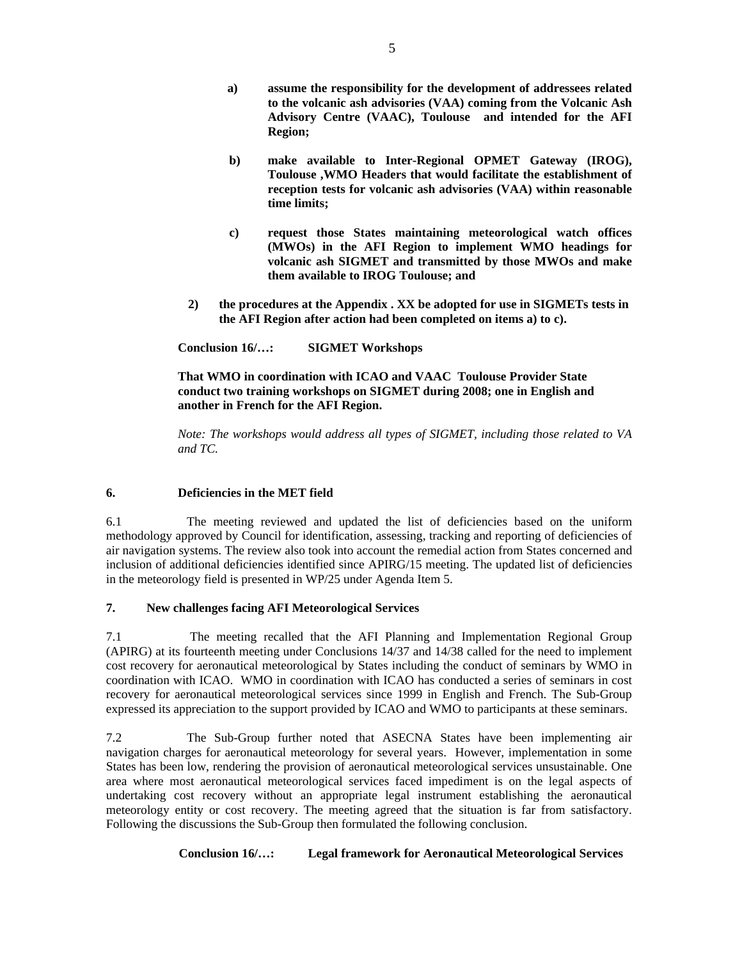- **a) assume the responsibility for the development of addressees related to the volcanic ash advisories (VAA) coming from the Volcanic Ash Advisory Centre (VAAC), Toulouse and intended for the AFI Region;**
- **b) make available to Inter-Regional OPMET Gateway (IROG), Toulouse ,WMO Headers that would facilitate the establishment of reception tests for volcanic ash advisories (VAA) within reasonable time limits;**
- **c) request those States maintaining meteorological watch offices (MWOs) in the AFI Region to implement WMO headings for volcanic ash SIGMET and transmitted by those MWOs and make them available to IROG Toulouse; and**
- **2) the procedures at the Appendix . XX be adopted for use in SIGMETs tests in the AFI Region after action had been completed on items a) to c).**

 **Conclusion 16/…: SIGMET Workshops** 

**That WMO in coordination with ICAO and VAAC Toulouse Provider State conduct two training workshops on SIGMET during 2008; one in English and another in French for the AFI Region.** 

*Note: The workshops would address all types of SIGMET, including those related to VA and TC.* 

## **6. Deficiencies in the MET field**

6.1 The meeting reviewed and updated the list of deficiencies based on the uniform methodology approved by Council for identification, assessing, tracking and reporting of deficiencies of air navigation systems. The review also took into account the remedial action from States concerned and inclusion of additional deficiencies identified since APIRG/15 meeting. The updated list of deficiencies in the meteorology field is presented in WP/25 under Agenda Item 5.

#### **7. New challenges facing AFI Meteorological Services**

7.1 The meeting recalled that the AFI Planning and Implementation Regional Group (APIRG) at its fourteenth meeting under Conclusions 14/37 and 14/38 called for the need to implement cost recovery for aeronautical meteorological by States including the conduct of seminars by WMO in coordination with ICAO. WMO in coordination with ICAO has conducted a series of seminars in cost recovery for aeronautical meteorological services since 1999 in English and French. The Sub-Group expressed its appreciation to the support provided by ICAO and WMO to participants at these seminars.

7.2 The Sub-Group further noted that ASECNA States have been implementing air navigation charges for aeronautical meteorology for several years. However, implementation in some States has been low, rendering the provision of aeronautical meteorological services unsustainable. One area where most aeronautical meteorological services faced impediment is on the legal aspects of undertaking cost recovery without an appropriate legal instrument establishing the aeronautical meteorology entity or cost recovery. The meeting agreed that the situation is far from satisfactory. Following the discussions the Sub-Group then formulated the following conclusion.

**Conclusion 16/…: Legal framework for Aeronautical Meteorological Services**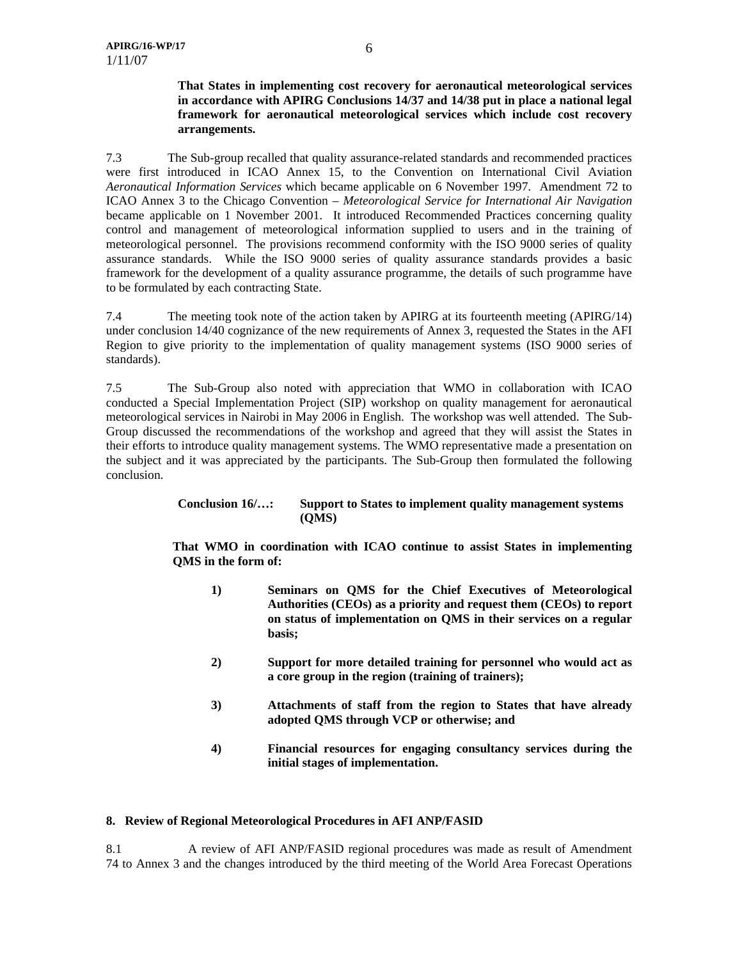#### **That States in implementing cost recovery for aeronautical meteorological services in accordance with APIRG Conclusions 14/37 and 14/38 put in place a national legal framework for aeronautical meteorological services which include cost recovery arrangements.**

7.3 The Sub-group recalled that quality assurance-related standards and recommended practices were first introduced in ICAO Annex 15, to the Convention on International Civil Aviation *Aeronautical Information Services* which became applicable on 6 November 1997. Amendment 72 to ICAO Annex 3 to the Chicago Convention – *Meteorological Service for International Air Navigation* became applicable on 1 November 2001. It introduced Recommended Practices concerning quality control and management of meteorological information supplied to users and in the training of meteorological personnel. The provisions recommend conformity with the ISO 9000 series of quality assurance standards. While the ISO 9000 series of quality assurance standards provides a basic framework for the development of a quality assurance programme, the details of such programme have to be formulated by each contracting State.

7.4 The meeting took note of the action taken by APIRG at its fourteenth meeting (APIRG/14) under conclusion 14/40 cognizance of the new requirements of Annex 3, requested the States in the AFI Region to give priority to the implementation of quality management systems (ISO 9000 series of standards).

7.5 The Sub-Group also noted with appreciation that WMO in collaboration with ICAO conducted a Special Implementation Project (SIP) workshop on quality management for aeronautical meteorological services in Nairobi in May 2006 in English. The workshop was well attended. The Sub-Group discussed the recommendations of the workshop and agreed that they will assist the States in their efforts to introduce quality management systems. The WMO representative made a presentation on the subject and it was appreciated by the participants. The Sub-Group then formulated the following conclusion.

#### **Conclusion 16/…: Support to States to implement quality management systems (QMS)**

**That WMO in coordination with ICAO continue to assist States in implementing QMS in the form of:** 

- **1) Seminars on QMS for the Chief Executives of Meteorological Authorities (CEOs) as a priority and request them (CEOs) to report on status of implementation on QMS in their services on a regular basis;**
- **2) Support for more detailed training for personnel who would act as a core group in the region (training of trainers);**
- **3) Attachments of staff from the region to States that have already adopted QMS through VCP or otherwise; and**
- **4) Financial resources for engaging consultancy services during the initial stages of implementation.**

#### **8. Review of Regional Meteorological Procedures in AFI ANP/FASID**

8.1 A review of AFI ANP/FASID regional procedures was made as result of Amendment 74 to Annex 3 and the changes introduced by the third meeting of the World Area Forecast Operations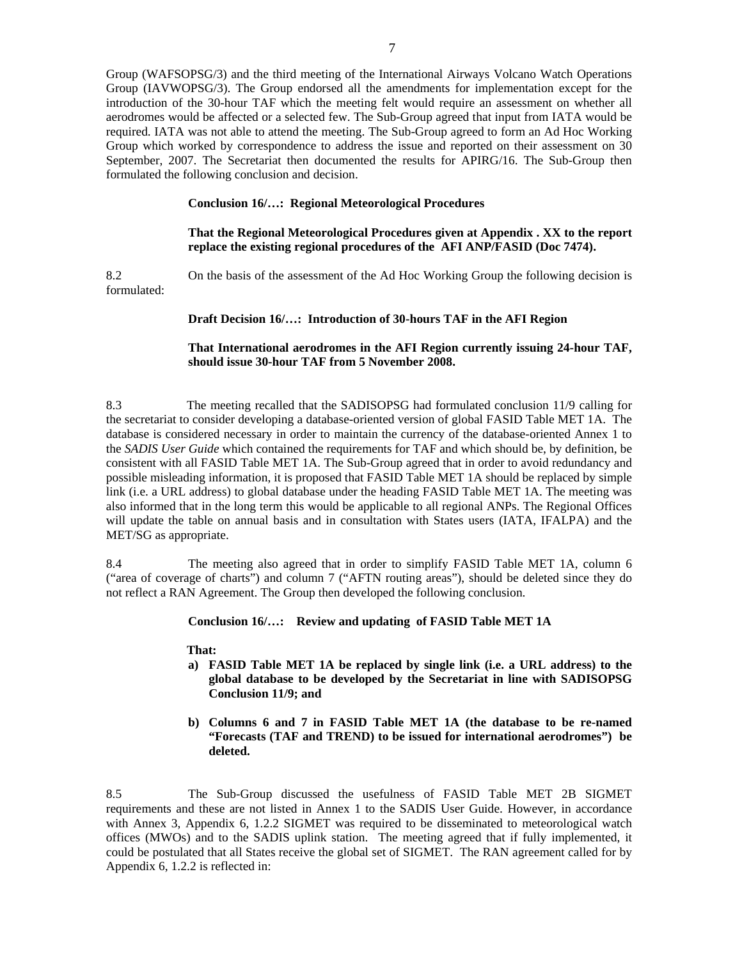Group (WAFSOPSG/3) and the third meeting of the International Airways Volcano Watch Operations Group (IAVWOPSG/3). The Group endorsed all the amendments for implementation except for the introduction of the 30-hour TAF which the meeting felt would require an assessment on whether all aerodromes would be affected or a selected few. The Sub-Group agreed that input from IATA would be required. IATA was not able to attend the meeting. The Sub-Group agreed to form an Ad Hoc Working Group which worked by correspondence to address the issue and reported on their assessment on 30 September, 2007. The Secretariat then documented the results for APIRG/16. The Sub-Group then formulated the following conclusion and decision.

#### **Conclusion 16/…: Regional Meteorological Procedures**

#### **That the Regional Meteorological Procedures given at Appendix . XX to the report replace the existing regional procedures of the AFI ANP/FASID (Doc 7474).**

8.2 On the basis of the assessment of the Ad Hoc Working Group the following decision is formulated:

#### **Draft Decision 16/…: Introduction of 30-hours TAF in the AFI Region**

#### **That International aerodromes in the AFI Region currently issuing 24-hour TAF, should issue 30-hour TAF from 5 November 2008.**

8.3 The meeting recalled that the SADISOPSG had formulated conclusion 11/9 calling for the secretariat to consider developing a database-oriented version of global FASID Table MET 1A. The database is considered necessary in order to maintain the currency of the database-oriented Annex 1 to the *SADIS User Guide* which contained the requirements for TAF and which should be, by definition, be consistent with all FASID Table MET 1A. The Sub-Group agreed that in order to avoid redundancy and possible misleading information, it is proposed that FASID Table MET 1A should be replaced by simple link (i.e. a URL address) to global database under the heading FASID Table MET 1A. The meeting was also informed that in the long term this would be applicable to all regional ANPs. The Regional Offices will update the table on annual basis and in consultation with States users (IATA, IFALPA) and the MET/SG as appropriate.

8.4 The meeting also agreed that in order to simplify FASID Table MET 1A, column 6 ("area of coverage of charts") and column 7 ("AFTN routing areas"), should be deleted since they do not reflect a RAN Agreement. The Group then developed the following conclusion.

 **Conclusion 16/…: Review and updating of FASID Table MET 1A** 

#### **That:**

- **a) FASID Table MET 1A be replaced by single link (i.e. a URL address) to the global database to be developed by the Secretariat in line with SADISOPSG Conclusion 11/9; and**
- **b) Columns 6 and 7 in FASID Table MET 1A (the database to be re-named "Forecasts (TAF and TREND) to be issued for international aerodromes") be deleted.**

8.5 The Sub-Group discussed the usefulness of FASID Table MET 2B SIGMET requirements and these are not listed in Annex 1 to the SADIS User Guide. However, in accordance with Annex 3, Appendix 6, 1.2.2 SIGMET was required to be disseminated to meteorological watch offices (MWOs) and to the SADIS uplink station. The meeting agreed that if fully implemented, it could be postulated that all States receive the global set of SIGMET. The RAN agreement called for by Appendix 6, 1.2.2 is reflected in: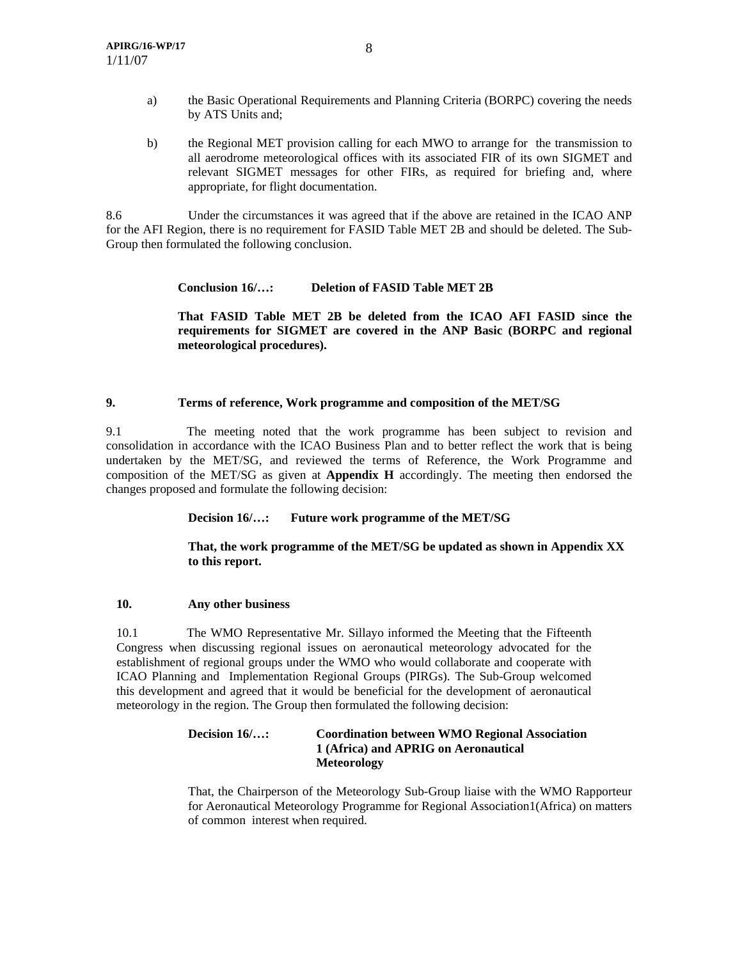- a) the Basic Operational Requirements and Planning Criteria (BORPC) covering the needs by ATS Units and;
- b) the Regional MET provision calling for each MWO to arrange for the transmission to all aerodrome meteorological offices with its associated FIR of its own SIGMET and relevant SIGMET messages for other FIRs, as required for briefing and, where appropriate, for flight documentation.

8.6 Under the circumstances it was agreed that if the above are retained in the ICAO ANP for the AFI Region, there is no requirement for FASID Table MET 2B and should be deleted. The Sub-Group then formulated the following conclusion.

**Conclusion 16/…: Deletion of FASID Table MET 2B** 

**That FASID Table MET 2B be deleted from the ICAO AFI FASID since the requirements for SIGMET are covered in the ANP Basic (BORPC and regional meteorological procedures).** 

## **9. Terms of reference, Work programme and composition of the MET/SG**

9.1 The meeting noted that the work programme has been subject to revision and consolidation in accordance with the ICAO Business Plan and to better reflect the work that is being undertaken by the MET/SG, and reviewed the terms of Reference, the Work Programme and composition of the MET/SG as given at **Appendix H** accordingly. The meeting then endorsed the changes proposed and formulate the following decision:

**Decision 16/…: Future work programme of the MET/SG** 

#### **That, the work programme of the MET/SG be updated as shown in Appendix XX to this report.**

#### **10. Any other business**

10.1 The WMO Representative Mr. Sillayo informed the Meeting that the Fifteenth Congress when discussing regional issues on aeronautical meteorology advocated for the establishment of regional groups under the WMO who would collaborate and cooperate with ICAO Planning and Implementation Regional Groups (PIRGs). The Sub-Group welcomed this development and agreed that it would be beneficial for the development of aeronautical meteorology in the region. The Group then formulated the following decision:

## **Decision 16/…: Coordination between WMO Regional Association 1 (Africa) and APRIG on Aeronautical Meteorology**

That, the Chairperson of the Meteorology Sub-Group liaise with the WMO Rapporteur for Aeronautical Meteorology Programme for Regional Association1(Africa) on matters of common interest when required.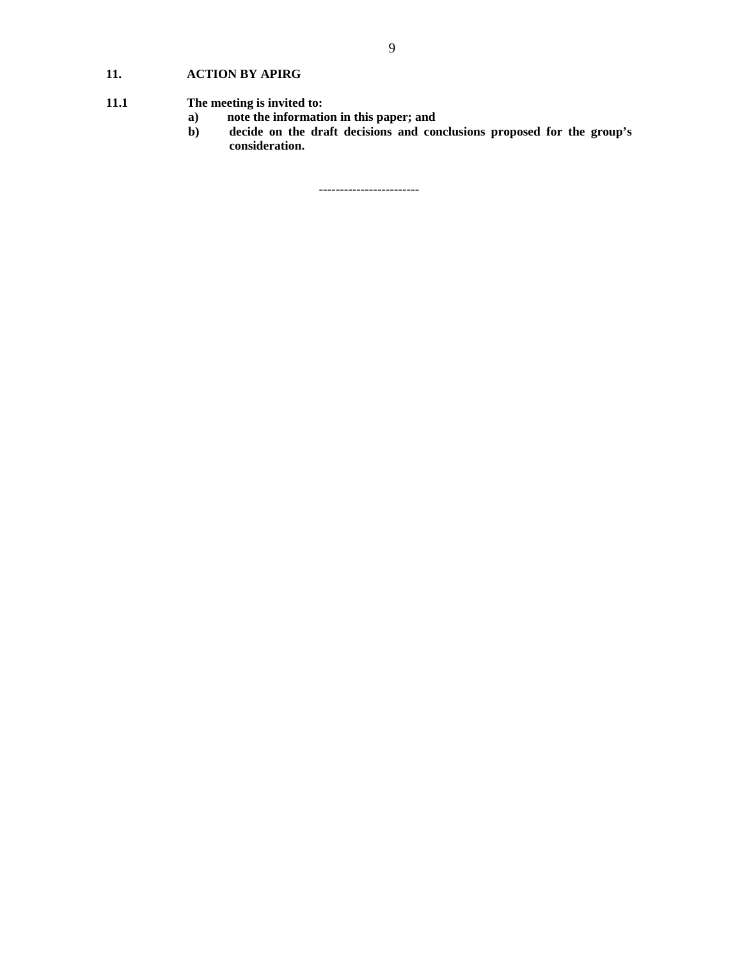## **11. ACTION BY APIRG**

# **11.1** The meeting is invited to:<br>a) note the information

- **a) note the information in this paper; and**
- **b) decide on the draft decisions and conclusions proposed for the group's consideration.**

------------------------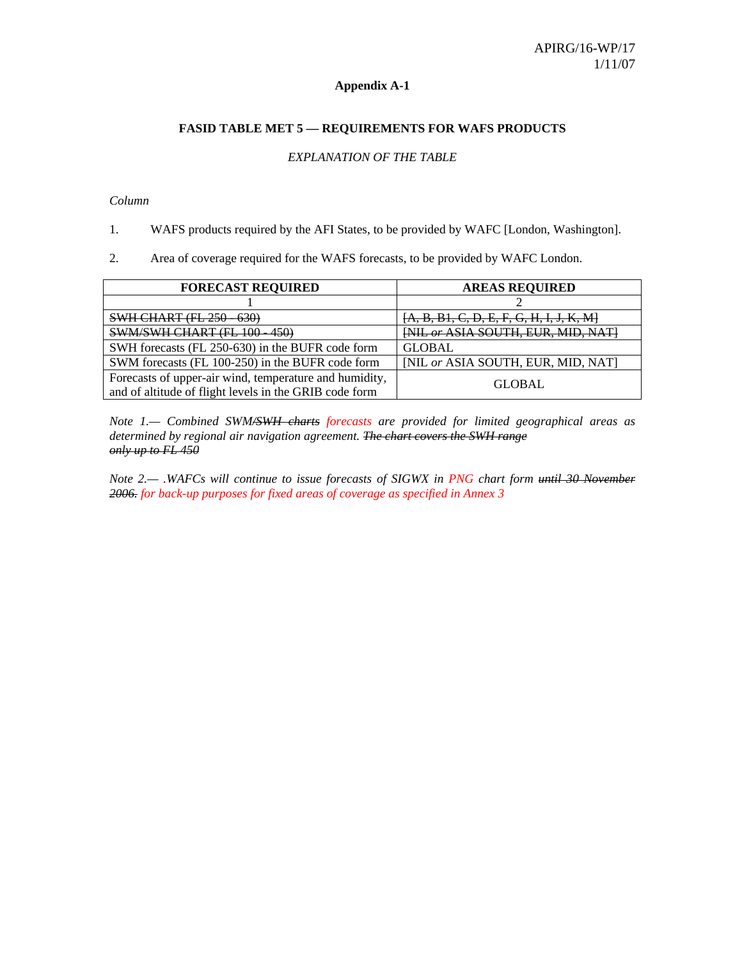#### **Appendix A-1**

#### **FASID TABLE MET 5 — REQUIREMENTS FOR WAFS PRODUCTS**

#### *EXPLANATION OF THE TABLE*

#### *Column*

1. WAFS products required by the AFI States, to be provided by WAFC [London, Washington].

2. Area of coverage required for the WAFS forecasts, to be provided by WAFC London.

| <b>FORECAST REQUIRED</b>                                                                                         | <b>AREAS REQUIRED</b>                      |
|------------------------------------------------------------------------------------------------------------------|--------------------------------------------|
|                                                                                                                  |                                            |
| <b>SWH CHART (FL 250 - 630)</b>                                                                                  | $[A, B, B1, C, D, E, F, G, H, I, J, K, M]$ |
| <b>SWM/SWH CHART (FL</b><br><b>150)</b><br>1ΩΩ<br><del>re ivo</del><br>rJV.                                      | <b>[NIL or ASIA SOUTH, EUR, MID, NAT]</b>  |
| SWH forecasts (FL 250-630) in the BUFR code form                                                                 | <b>GLOBAL</b>                              |
| SWM forecasts (FL 100-250) in the BUFR code form                                                                 | [NIL or ASIA SOUTH, EUR, MID, NAT]         |
| Forecasts of upper-air wind, temperature and humidity,<br>and of altitude of flight levels in the GRIB code form | <b>GLOBAL</b>                              |

*Note 1.— Combined SWM/SWH charts forecasts are provided for limited geographical areas as determined by regional air navigation agreement. The chart covers the SWH range only up to FL 450*

*Note 2.— .WAFCs will continue to issue forecasts of SIGWX in PNG chart form until 30 November 2006. for back-up purposes for fixed areas of coverage as specified in Annex 3*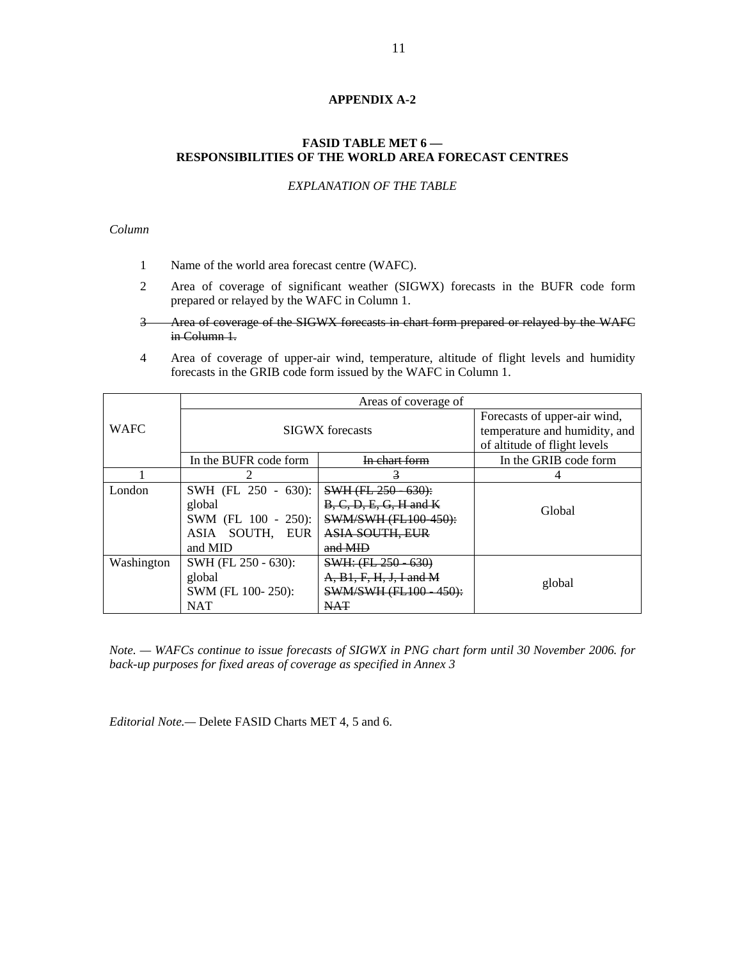## **APPENDIX A-2**

## **FASID TABLE MET 6 — RESPONSIBILITIES OF THE WORLD AREA FORECAST CENTRES**

## *EXPLANATION OF THE TABLE*

#### *Column*

- 1 Name of the world area forecast centre (WAFC).
- 2 Area of coverage of significant weather (SIGWX) forecasts in the BUFR code form prepared or relayed by the WAFC in Column 1.
- 3 Area of coverage of the SIGWX forecasts in chart form prepared or relayed by the WAFC in Column 1.
- 4 Area of coverage of upper-air wind, temperature, altitude of flight levels and humidity forecasts in the GRIB code form issued by the WAFC in Column 1.

|             | Areas of coverage of                                                               |                                                                                                                   |                       |  |  |
|-------------|------------------------------------------------------------------------------------|-------------------------------------------------------------------------------------------------------------------|-----------------------|--|--|
| <b>WAFC</b> | <b>SIGWX</b> forecasts                                                             | Forecasts of upper-air wind,<br>temperature and humidity, and<br>of altitude of flight levels                     |                       |  |  |
|             | In the BUFR code form                                                              | In chart form                                                                                                     | In the GRIB code form |  |  |
|             |                                                                                    | $\mathbf{3}$                                                                                                      |                       |  |  |
| London      | SWH (FL 250 - 630):<br>global<br>SWM (FL 100 - 250):<br>ASIA SOUTH, EUR<br>and MID | $SWH (FL 250 - 630)$ :<br>$B, C, D, E, G, H$ and $K$<br>SWM/SWH (FL100-450):<br><b>ASIA SOUTH, EUR</b><br>and MID | Global                |  |  |
| Washington  | SWH (FL 250 - 630):<br>global<br>SWM (FL 100-250):<br><b>NAT</b>                   | SWH: (FL 250 - 630)<br>$A, B1, F, H, J, I$ and M<br>SWM/SWH (FL100 450):<br><b>NAT</b>                            | global                |  |  |

*Note. — WAFCs continue to issue forecasts of SIGWX in PNG chart form until 30 November 2006. for back-up purposes for fixed areas of coverage as specified in Annex 3* 

*Editorial Note.—* Delete FASID Charts MET 4, 5 and 6.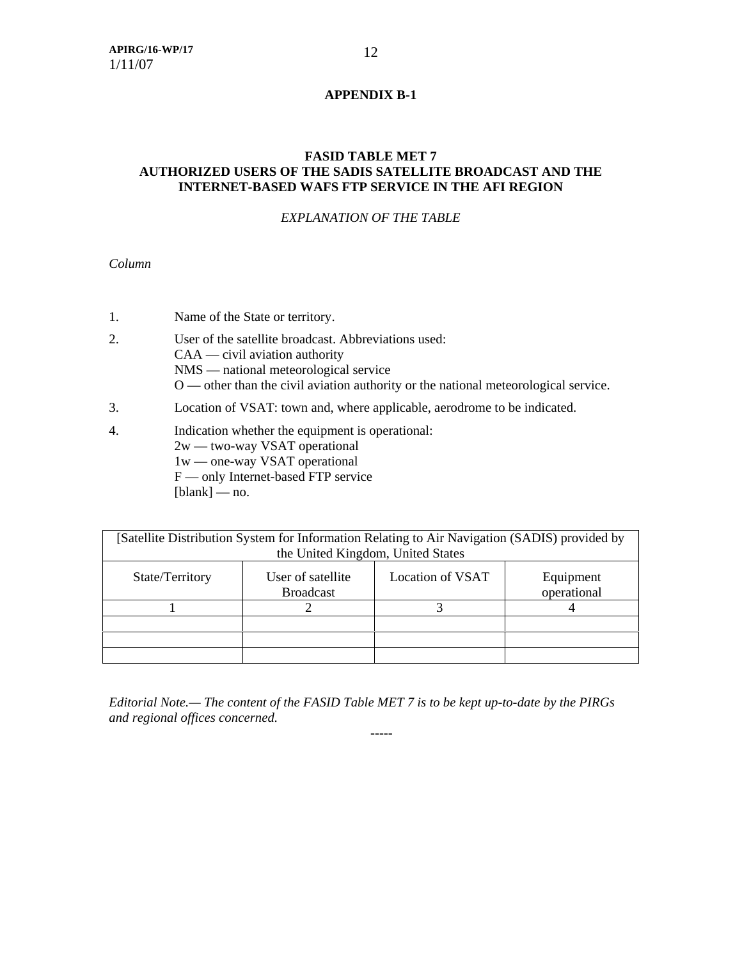## **APPENDIX B-1**

## **FASID TABLE MET 7 AUTHORIZED USERS OF THE SADIS SATELLITE BROADCAST AND THE INTERNET-BASED WAFS FTP SERVICE IN THE AFI REGION**

## *EXPLANATION OF THE TABLE*

*Column* 

- 1. Name of the State or territory.
- 2. User of the satellite broadcast. Abbreviations used: CAA — civil aviation authority NMS — national meteorological service O — other than the civil aviation authority or the national meteorological service.
- 3. Location of VSAT: town and, where applicable, aerodrome to be indicated.
- 4. Indication whether the equipment is operational: 2w — two-way VSAT operational 1w — one-way VSAT operational F — only Internet-based FTP service  $[blank]$  — no.

| [Satellite Distribution System for Information Relating to Air Navigation (SADIS) provided by |                                       |                  |                          |  |
|-----------------------------------------------------------------------------------------------|---------------------------------------|------------------|--------------------------|--|
|                                                                                               | the United Kingdom, United States     |                  |                          |  |
| State/Territory                                                                               | User of satellite<br><b>Broadcast</b> | Location of VSAT | Equipment<br>operational |  |
|                                                                                               |                                       |                  |                          |  |
|                                                                                               |                                       |                  |                          |  |
|                                                                                               |                                       |                  |                          |  |
|                                                                                               |                                       |                  |                          |  |

*Editorial Note.— The content of the FASID Table MET 7 is to be kept up-to-date by the PIRGs and regional offices concerned.* 

-----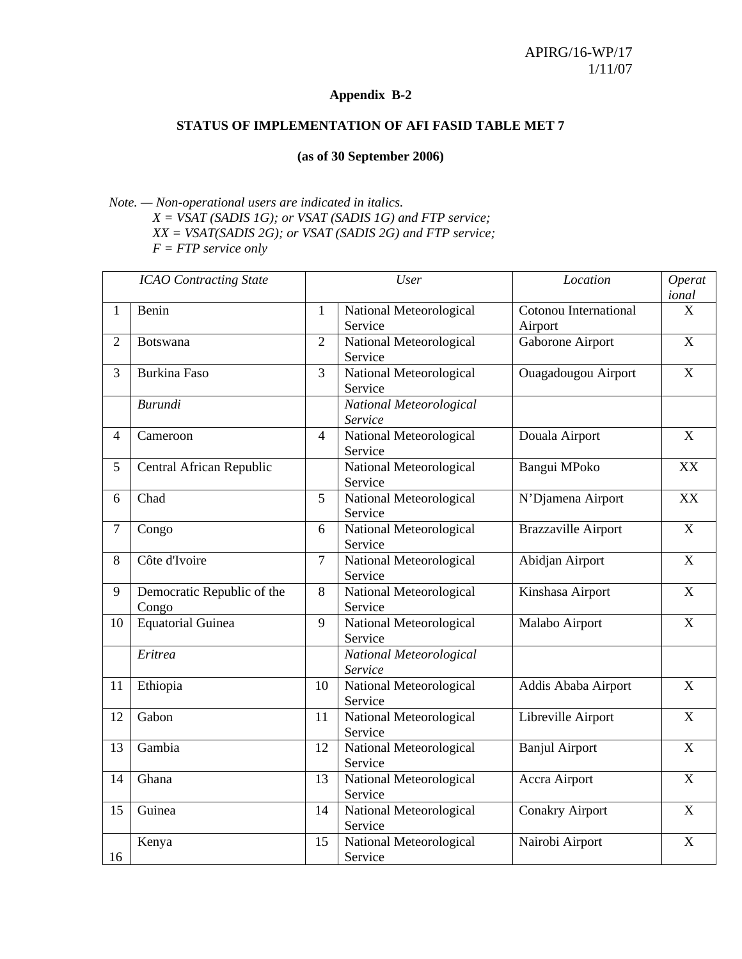## **Appendix B-2**

## **STATUS OF IMPLEMENTATION OF AFI FASID TABLE MET 7**

## **(as of 30 September 2006)**

## *Note. — Non-operational users are indicated in italics. X = VSAT (SADIS 1G); or VSAT (SADIS 1G) and FTP service; XX = VSAT(SADIS 2G); or VSAT (SADIS 2G) and FTP service; F = FTP service only*

|                | <b>ICAO</b> Contracting State       | User           |                                    | Location                         | <b>Operat</b><br>ional |
|----------------|-------------------------------------|----------------|------------------------------------|----------------------------------|------------------------|
| $\mathbf{1}$   | Benin                               | $\mathbf{1}$   | National Meteorological<br>Service | Cotonou International<br>Airport | X                      |
| $\overline{2}$ | Botswana                            | $\overline{2}$ | National Meteorological<br>Service | Gaborone Airport                 | $\mathbf X$            |
| 3              | <b>Burkina Faso</b>                 | 3              | National Meteorological<br>Service | Ouagadougou Airport              | $\overline{X}$         |
|                | <b>Burundi</b>                      |                | National Meteorological<br>Service |                                  |                        |
| $\overline{4}$ | Cameroon                            | $\overline{4}$ | National Meteorological<br>Service | Douala Airport                   | $\mathbf X$            |
| 5              | Central African Republic            |                | National Meteorological<br>Service | Bangui MPoko                     | XX                     |
| 6              | Chad                                | 5              | National Meteorological<br>Service | N'Djamena Airport                | XX                     |
| $\overline{7}$ | Congo                               | 6              | National Meteorological<br>Service | <b>Brazzaville Airport</b>       | $\overline{X}$         |
| 8              | Côte d'Ivoire                       | $\overline{7}$ | National Meteorological<br>Service | Abidjan Airport                  | $\mathbf X$            |
| 9              | Democratic Republic of the<br>Congo | $8\,$          | National Meteorological<br>Service | Kinshasa Airport                 | $\overline{X}$         |
| 10             | <b>Equatorial Guinea</b>            | 9              | National Meteorological<br>Service | Malabo Airport                   | $\mathbf X$            |
|                | Eritrea                             |                | National Meteorological<br>Service |                                  |                        |
| 11             | Ethiopia                            | 10             | National Meteorological<br>Service | Addis Ababa Airport              | $\mathbf X$            |
| 12             | Gabon                               | 11             | National Meteorological<br>Service | Libreville Airport               | X                      |
| 13             | Gambia                              | 12             | National Meteorological<br>Service | <b>Banjul Airport</b>            | $\mathbf X$            |
| 14             | Ghana                               | 13             | National Meteorological<br>Service | Accra Airport                    | $\mathbf X$            |
| 15             | Guinea                              | 14             | National Meteorological<br>Service | <b>Conakry Airport</b>           | $\mathbf X$            |
| 16             | Kenya                               | 15             | National Meteorological<br>Service | Nairobi Airport                  | $\mathbf X$            |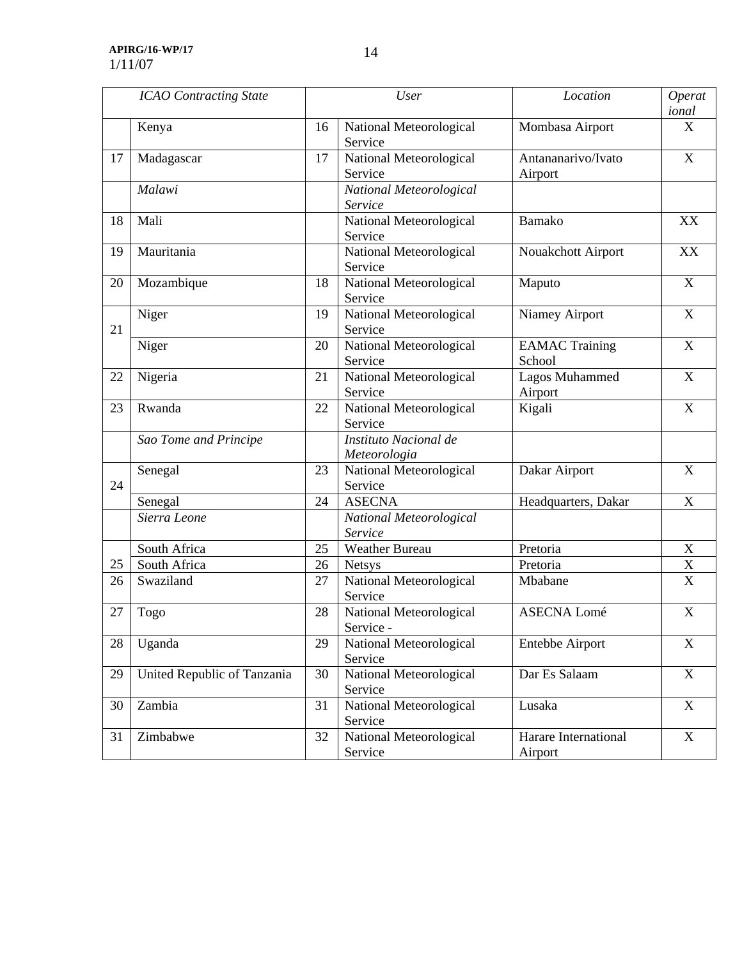**APIRG/16-WP/17**  1/11/07

|    | <b>ICAO</b> Contracting State |    | <b>User</b>                           | Location                        | Operat<br>ional           |
|----|-------------------------------|----|---------------------------------------|---------------------------------|---------------------------|
|    | Kenya                         | 16 | National Meteorological<br>Service    | Mombasa Airport                 | X                         |
| 17 | Madagascar                    | 17 | National Meteorological<br>Service    | Antananarivo/Ivato<br>Airport   | $\boldsymbol{\mathrm{X}}$ |
|    | Malawi                        |    | National Meteorological<br>Service    |                                 |                           |
| 18 | Mali                          |    | National Meteorological<br>Service    | <b>Bamako</b>                   | XX                        |
| 19 | Mauritania                    |    | National Meteorological<br>Service    | Nouakchott Airport              | XX                        |
| 20 | Mozambique                    | 18 | National Meteorological<br>Service    | Maputo                          | $\mathbf X$               |
| 21 | Niger                         | 19 | National Meteorological<br>Service    | <b>Niamey Airport</b>           | $\boldsymbol{\mathrm{X}}$ |
|    | Niger                         | 20 | National Meteorological<br>Service    | <b>EAMAC Training</b><br>School | $\mathbf X$               |
| 22 | Nigeria                       | 21 | National Meteorological<br>Service    | Lagos Muhammed<br>Airport       | $\boldsymbol{\mathrm{X}}$ |
| 23 | Rwanda                        | 22 | National Meteorological<br>Service    | Kigali                          | $\boldsymbol{\mathrm{X}}$ |
|    | Sao Tome and Principe         |    | Instituto Nacional de<br>Meteorologia |                                 |                           |
| 24 | Senegal                       | 23 | National Meteorological<br>Service    | Dakar Airport                   | $\boldsymbol{\mathrm{X}}$ |
|    | Senegal                       | 24 | <b>ASECNA</b>                         | Headquarters, Dakar             | $\mathbf X$               |
|    | Sierra Leone                  |    | National Meteorological<br>Service    |                                 |                           |
|    | South Africa                  | 25 | Weather Bureau                        | Pretoria                        | $\mathbf X$               |
| 25 | South Africa                  | 26 | <b>Netsys</b>                         | Pretoria                        | X                         |
| 26 | Swaziland                     | 27 | National Meteorological<br>Service    | Mbabane                         | $\overline{\mathbf{X}}$   |
| 27 | Togo                          | 28 | National Meteorological<br>Service -  | <b>ASECNA Lomé</b>              | $\mathbf X$               |
| 28 | Uganda                        | 29 | National Meteorological<br>Service    | Entebbe Airport                 | X                         |
| 29 | United Republic of Tanzania   | 30 | National Meteorological<br>Service    | Dar Es Salaam                   | $\mathbf X$               |
| 30 | Zambia                        | 31 | National Meteorological<br>Service    | Lusaka                          | $\boldsymbol{\mathrm{X}}$ |
| 31 | Zimbabwe                      | 32 | National Meteorological<br>Service    | Harare International<br>Airport | $\boldsymbol{\mathrm{X}}$ |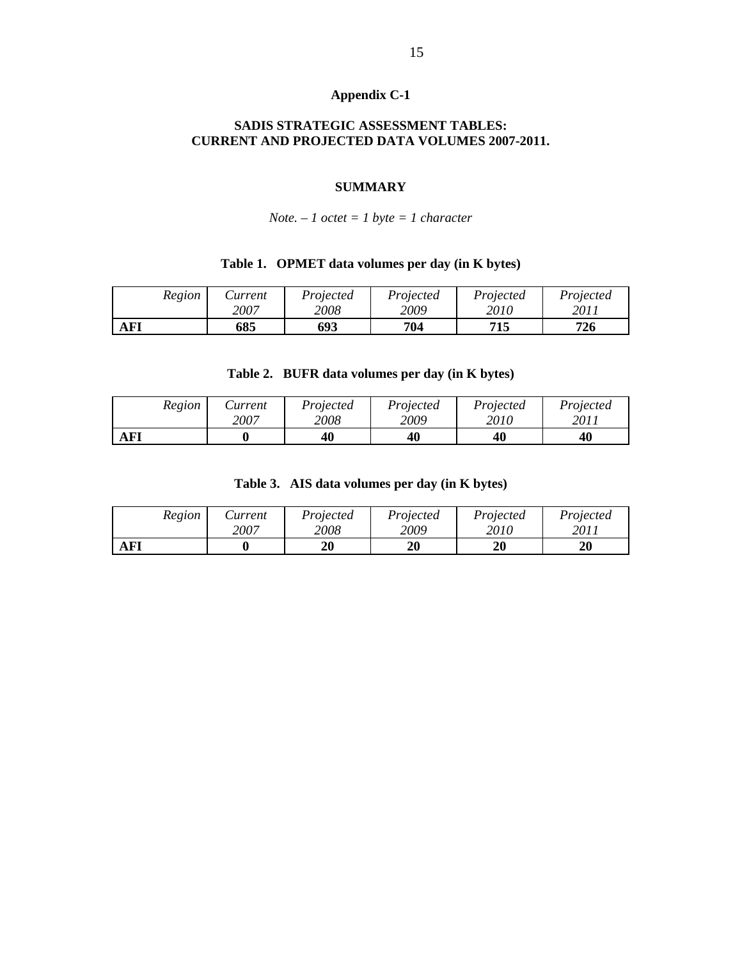## **Appendix C-1**

## **SADIS STRATEGIC ASSESSMENT TABLES: CURRENT AND PROJECTED DATA VOLUMES 2007-2011.**

## **SUMMARY**

## *Note. – 1 octet = 1 byte = 1 character*

## **Table 1. OPMET data volumes per day (in K bytes)**

| Region     | Aurrent | Projected | Proiected | Projected | Projected |
|------------|---------|-----------|-----------|-----------|-----------|
|            | 2007    | 2008      | 2009      | 2010      | 2011      |
| <b>AFI</b> | 685     | 693       | 704       | 715       | 726       |

## **Table 2. BUFR data volumes per day (in K bytes)**

| Region     | <i>Surrent</i> | Projected | Projected | Projected | Projected |
|------------|----------------|-----------|-----------|-----------|-----------|
|            | 2007           | 2008      | 2009      | 2010      | 2011      |
| <b>AFI</b> |                | 40        | 40        | 40        | 40        |

## **Table 3. AIS data volumes per day (in K bytes)**

| Region | Current | Projected | Projected | Projected | Projected |
|--------|---------|-----------|-----------|-----------|-----------|
|        | 2007    | 2008      | 2009      | 2010      | 2011      |
| AFI    |         | 20        | 20        | 20        | 20        |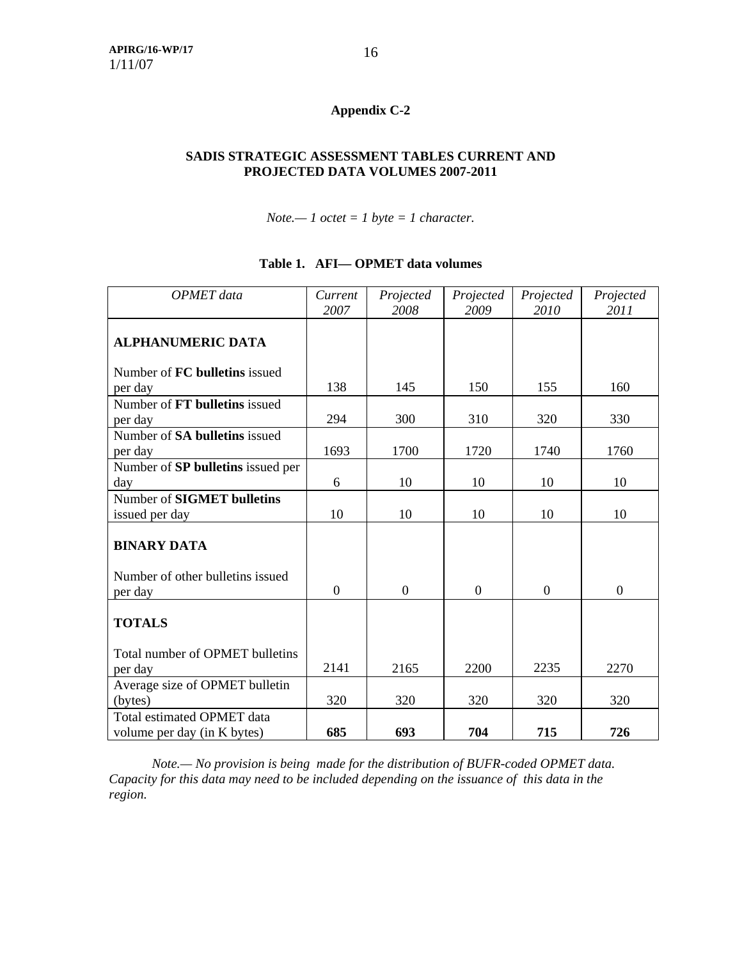# **Appendix C-2**

## **SADIS STRATEGIC ASSESSMENT TABLES CURRENT AND PROJECTED DATA VOLUMES 2007-2011**

*Note.— 1 octet = 1 byte = 1 character.*

| <b>OPMET</b> data                 | Current<br>2007 | Projected<br>2008 | Projected<br>2009 | Projected<br>2010 | Projected<br>2011 |
|-----------------------------------|-----------------|-------------------|-------------------|-------------------|-------------------|
| <b>ALPHANUMERIC DATA</b>          |                 |                   |                   |                   |                   |
| Number of FC bulletins issued     |                 |                   |                   |                   |                   |
| per day                           | 138             | 145               | 150               | 155               | 160               |
| Number of FT bulletins issued     |                 |                   |                   |                   |                   |
| per day                           | 294             | 300               | 310               | 320               | 330               |
| Number of SA bulletins issued     |                 |                   |                   |                   |                   |
| per day                           | 1693            | 1700              | 1720              | 1740              | 1760              |
| Number of SP bulletins issued per |                 |                   |                   |                   |                   |
| day                               | 6               | 10                | 10                | 10                | 10                |
| Number of SIGMET bulletins        |                 |                   |                   |                   |                   |
| issued per day                    | 10              | 10                | 10                | 10                | 10                |
| <b>BINARY DATA</b>                |                 |                   |                   |                   |                   |
| Number of other bulletins issued  |                 |                   |                   |                   |                   |
| per day                           | $\Omega$        | $\overline{0}$    | $\overline{0}$    | $\Omega$          | $\overline{0}$    |
| <b>TOTALS</b>                     |                 |                   |                   |                   |                   |
| Total number of OPMET bulletins   |                 |                   |                   |                   |                   |
| per day                           | 2141            | 2165              | 2200              | 2235              | 2270              |
| Average size of OPMET bulletin    |                 |                   |                   |                   |                   |
| (bytes)                           | 320             | 320               | 320               | 320               | 320               |
| Total estimated OPMET data        |                 |                   |                   |                   |                   |
| volume per day (in K bytes)       | 685             | 693               | 704               | 715               | 726               |

## **Table 1. AFI— OPMET data volumes**

 *Note.— No provision is being made for the distribution of BUFR-coded OPMET data. Capacity for this data may need to be included depending on the issuance of this data in the region.*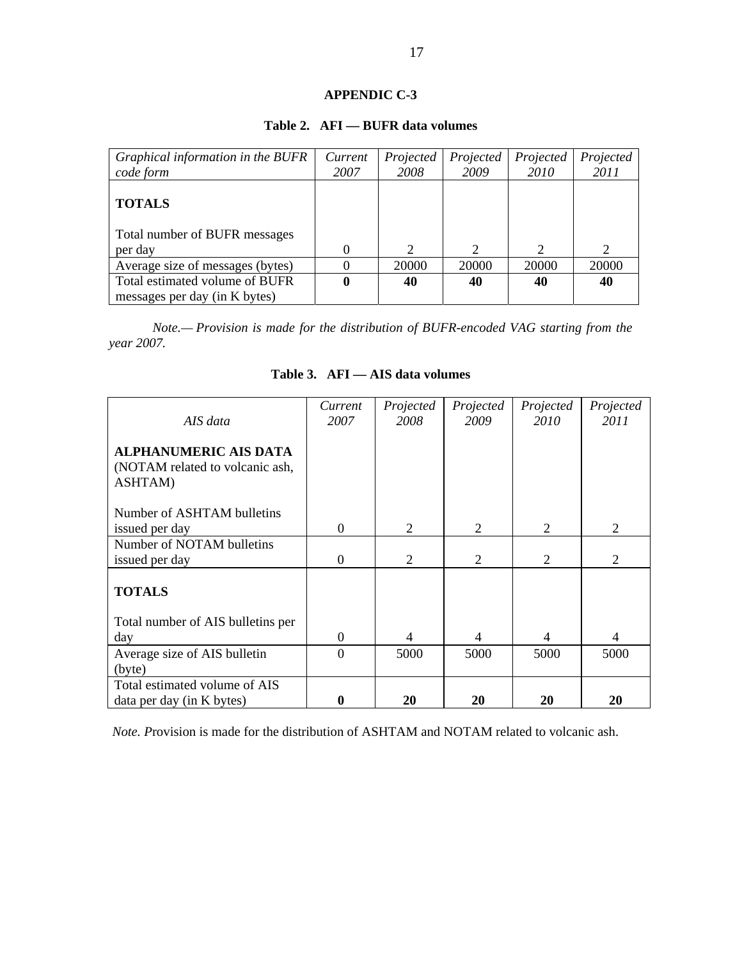## **APPENDIC C-3**

| Graphical information in the BUFR | Current | Projected | Projected | Projected     | Projected                   |
|-----------------------------------|---------|-----------|-----------|---------------|-----------------------------|
| code form                         | 2007    | 2008      | 2009      | 2010          | 2011                        |
| <b>TOTALS</b>                     |         |           |           |               |                             |
| Total number of BUFR messages     |         |           |           |               |                             |
| per day                           |         | っ         |           | $\mathcal{D}$ | $\mathcal{D}_{\mathcal{L}}$ |
| Average size of messages (bytes)  |         | 20000     | 20000     | 20000         | 20000                       |
| Total estimated volume of BUFR    |         | 40        | 40        | 40            | 40                          |
| messages per day (in K bytes)     |         |           |           |               |                             |

## **Table 2. AFI — BUFR data volumes**

*Note.— Provision is made for the distribution of BUFR-encoded VAG starting from the year 2007.* 

| AIS data                                   | Current<br>2007 | Projected<br>2008 | Projected<br>2009 | Projected<br>2010 | Projected<br>2011 |
|--------------------------------------------|-----------------|-------------------|-------------------|-------------------|-------------------|
|                                            |                 |                   |                   |                   |                   |
| <b>ALPHANUMERIC AIS DATA</b>               |                 |                   |                   |                   |                   |
| (NOTAM related to volcanic ash,<br>ASHTAM) |                 |                   |                   |                   |                   |
|                                            |                 |                   |                   |                   |                   |
| Number of ASHTAM bulletins                 |                 |                   |                   |                   |                   |
| issued per day                             | $\Omega$        | 2                 | 2                 | $\mathfrak{D}$    | 2                 |
| Number of NOTAM bulletins                  |                 |                   |                   |                   |                   |
| issued per day                             | $\Omega$        | 2                 | $\overline{2}$    | $\overline{2}$    | 2                 |
| <b>TOTALS</b>                              |                 |                   |                   |                   |                   |
| Total number of AIS bulletins per          |                 |                   |                   |                   |                   |
| day                                        | $\theta$        | 4                 | 4                 | 4                 | 4                 |
| Average size of AIS bulletin               | $\Omega$        | 5000              | 5000              | 5000              | 5000              |
| (byte)                                     |                 |                   |                   |                   |                   |
| Total estimated volume of AIS              |                 |                   |                   |                   |                   |
| data per day (in K bytes)                  | 0               | 20                | 20                | 20                | 20                |

## **Table 3. AFI — AIS data volumes**

*Note. P*rovision is made for the distribution of ASHTAM and NOTAM related to volcanic ash.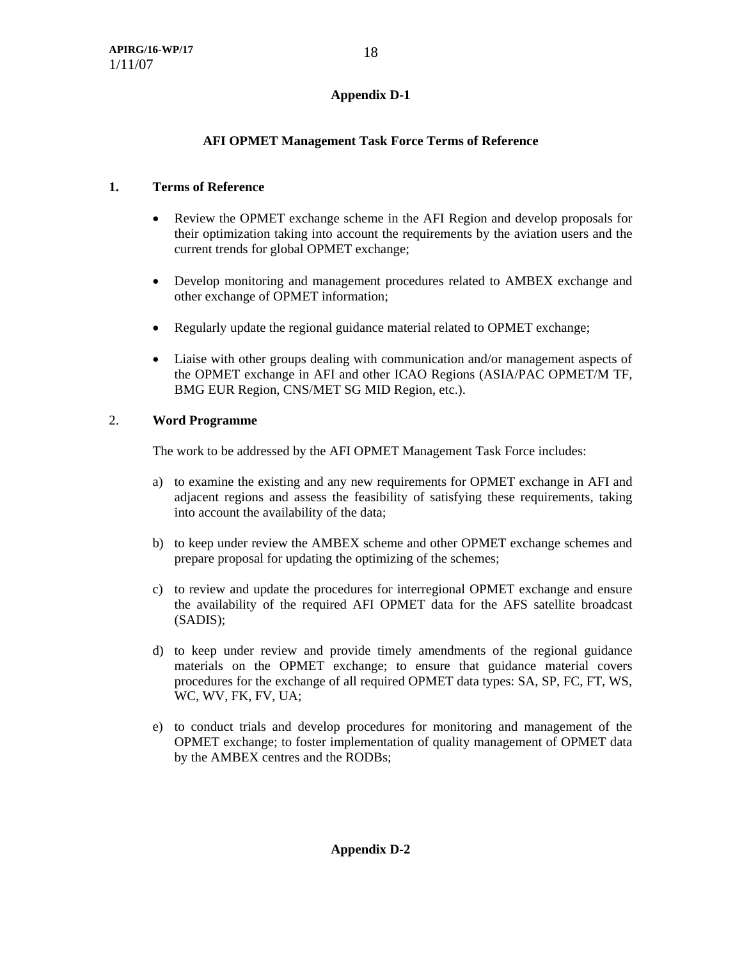## **AFI OPMET Management Task Force Terms of Reference**

## **1. Terms of Reference**

- Review the OPMET exchange scheme in the AFI Region and develop proposals for their optimization taking into account the requirements by the aviation users and the current trends for global OPMET exchange;
- Develop monitoring and management procedures related to AMBEX exchange and other exchange of OPMET information;
- Regularly update the regional guidance material related to OPMET exchange;
- Liaise with other groups dealing with communication and/or management aspects of the OPMET exchange in AFI and other ICAO Regions (ASIA/PAC OPMET/M TF, BMG EUR Region, CNS/MET SG MID Region, etc.).

## 2. **Word Programme**

The work to be addressed by the AFI OPMET Management Task Force includes:

- a) to examine the existing and any new requirements for OPMET exchange in AFI and adjacent regions and assess the feasibility of satisfying these requirements, taking into account the availability of the data;
- b) to keep under review the AMBEX scheme and other OPMET exchange schemes and prepare proposal for updating the optimizing of the schemes;
- c) to review and update the procedures for interregional OPMET exchange and ensure the availability of the required AFI OPMET data for the AFS satellite broadcast (SADIS);
- d) to keep under review and provide timely amendments of the regional guidance materials on the OPMET exchange; to ensure that guidance material covers procedures for the exchange of all required OPMET data types: SA, SP, FC, FT, WS, WC, WV, FK, FV, UA;
- e) to conduct trials and develop procedures for monitoring and management of the OPMET exchange; to foster implementation of quality management of OPMET data by the AMBEX centres and the RODBs;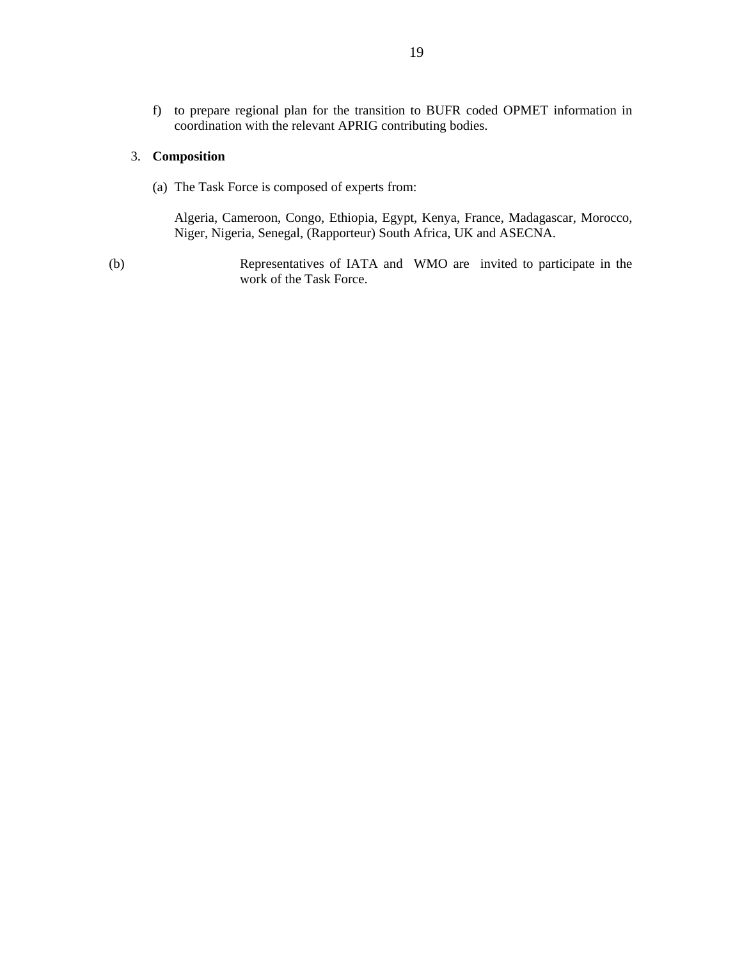f) to prepare regional plan for the transition to BUFR coded OPMET information in coordination with the relevant APRIG contributing bodies.

## 3. **Composition**

(a) The Task Force is composed of experts from:

Algeria, Cameroon, Congo, Ethiopia, Egypt, Kenya, France, Madagascar, Morocco, Niger, Nigeria, Senegal, (Rapporteur) South Africa, UK and ASECNA.

(b) Representatives of IATA and WMO are invited to participate in the work of the Task Force.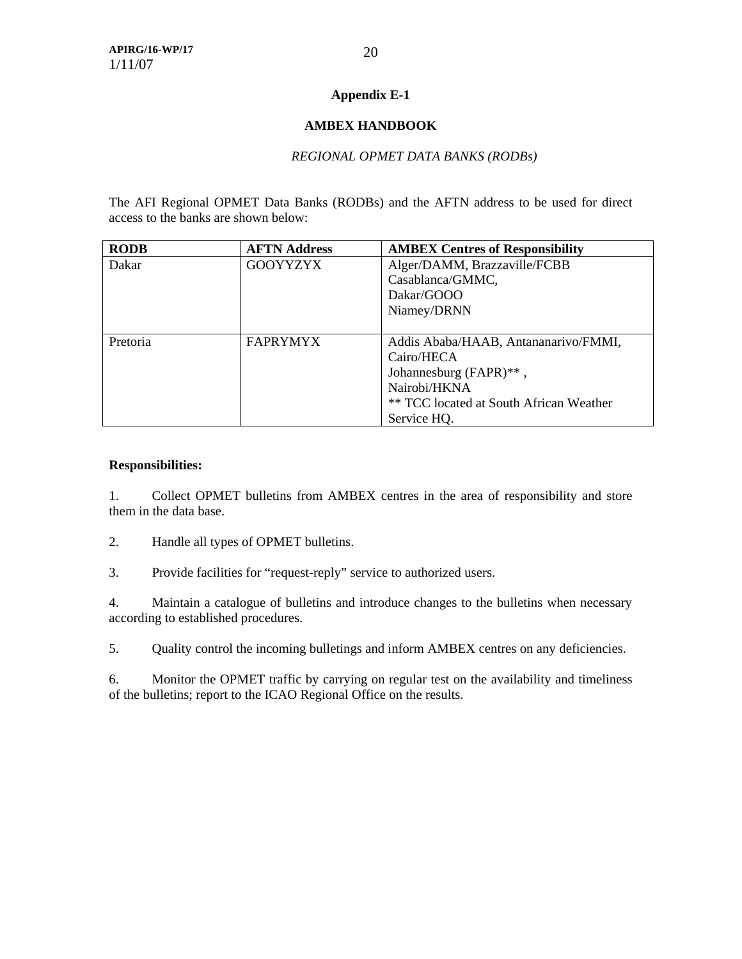## **Appendix E-1**

## **AMBEX HANDBOOK**

## *REGIONAL OPMET DATA BANKS (RODBs)*

The AFI Regional OPMET Data Banks (RODBs) and the AFTN address to be used for direct access to the banks are shown below:

| <b>RODB</b> | <b>AFTN Address</b> | <b>AMBEX Centres of Responsibility</b>  |
|-------------|---------------------|-----------------------------------------|
| Dakar       | <b>GOOYYZYX</b>     | Alger/DAMM, Brazzaville/FCBB            |
|             |                     | Casablanca/GMMC,                        |
|             |                     | Dakar/GOOO                              |
|             |                     | Niamey/DRNN                             |
|             |                     |                                         |
| Pretoria    | <b>FAPRYMYX</b>     | Addis Ababa/HAAB, Antananarivo/FMMI,    |
|             |                     | Cairo/HECA                              |
|             |                     | Johannesburg (FAPR)**,                  |
|             |                     | Nairobi/HKNA                            |
|             |                     | ** TCC located at South African Weather |
|             |                     | Service HQ.                             |

## **Responsibilities:**

1. Collect OPMET bulletins from AMBEX centres in the area of responsibility and store them in the data base.

- 2. Handle all types of OPMET bulletins.
- 3. Provide facilities for "request-reply" service to authorized users.

4. Maintain a catalogue of bulletins and introduce changes to the bulletins when necessary according to established procedures.

5. Quality control the incoming bulletings and inform AMBEX centres on any deficiencies.

6. Monitor the OPMET traffic by carrying on regular test on the availability and timeliness of the bulletins; report to the ICAO Regional Office on the results.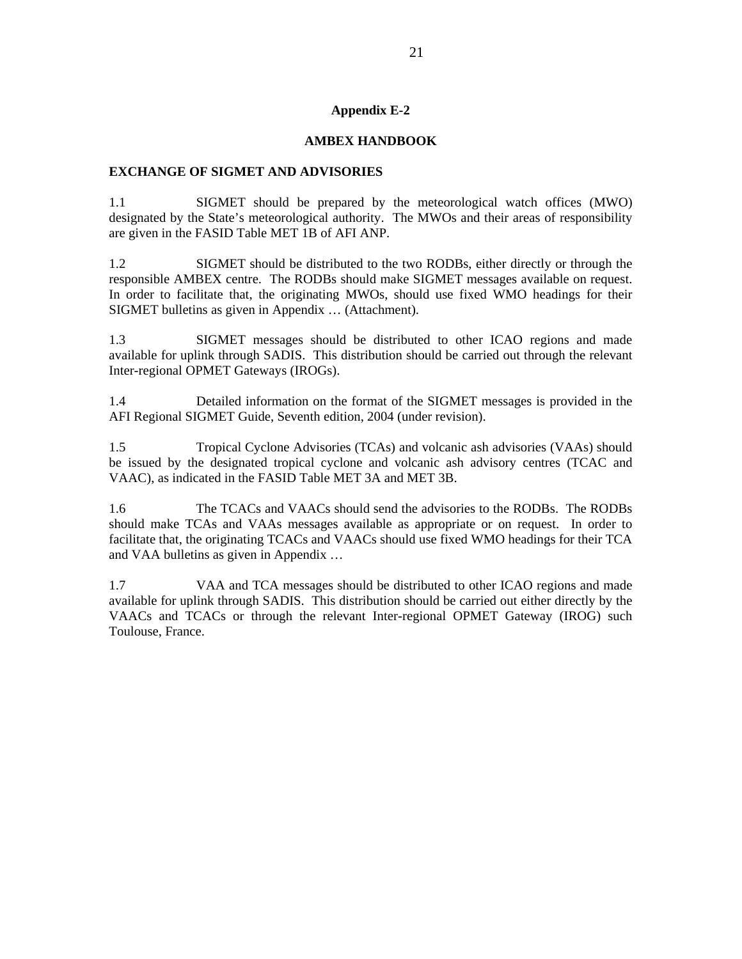## **Appendix E-2**

## **AMBEX HANDBOOK**

#### **EXCHANGE OF SIGMET AND ADVISORIES**

1.1 SIGMET should be prepared by the meteorological watch offices (MWO) designated by the State's meteorological authority. The MWOs and their areas of responsibility are given in the FASID Table MET 1B of AFI ANP.

1.2 SIGMET should be distributed to the two RODBs, either directly or through the responsible AMBEX centre. The RODBs should make SIGMET messages available on request. In order to facilitate that, the originating MWOs, should use fixed WMO headings for their SIGMET bulletins as given in Appendix … (Attachment).

1.3 SIGMET messages should be distributed to other ICAO regions and made available for uplink through SADIS. This distribution should be carried out through the relevant Inter-regional OPMET Gateways (IROGs).

1.4 Detailed information on the format of the SIGMET messages is provided in the AFI Regional SIGMET Guide, Seventh edition, 2004 (under revision).

1.5 Tropical Cyclone Advisories (TCAs) and volcanic ash advisories (VAAs) should be issued by the designated tropical cyclone and volcanic ash advisory centres (TCAC and VAAC), as indicated in the FASID Table MET 3A and MET 3B.

1.6 The TCACs and VAACs should send the advisories to the RODBs. The RODBs should make TCAs and VAAs messages available as appropriate or on request. In order to facilitate that, the originating TCACs and VAACs should use fixed WMO headings for their TCA and VAA bulletins as given in Appendix …

1.7 VAA and TCA messages should be distributed to other ICAO regions and made available for uplink through SADIS. This distribution should be carried out either directly by the VAACs and TCACs or through the relevant Inter-regional OPMET Gateway (IROG) such Toulouse, France.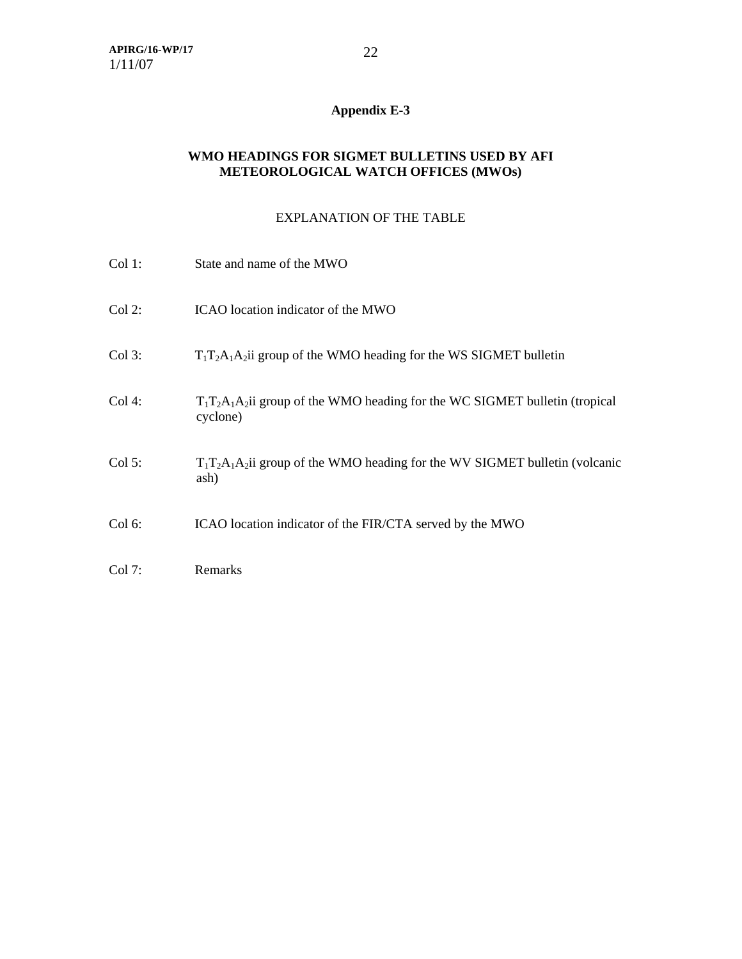# **Appendix E-3**

## **WMO HEADINGS FOR SIGMET BULLETINS USED BY AFI METEOROLOGICAL WATCH OFFICES (MWOs)**

## EXPLANATION OF THE TABLE

| Col 1:    | State and name of the MWO                                                                |
|-----------|------------------------------------------------------------------------------------------|
| $Col 2$ : | ICAO location indicator of the MWO                                                       |
| $Col$ 3:  | $T_1T_2A_1A_2$ group of the WMO heading for the WS SIGMET bulletin                       |
| Col 4:    | $T_1T_2A_1A_2$ group of the WMO heading for the WC SIGMET bulletin (tropical<br>cyclone) |
| Col 5:    | $T_1T_2A_1A_2$ i group of the WMO heading for the WV SIGMET bulletin (volcanic<br>ash)   |
| Col 6:    | ICAO location indicator of the FIR/CTA served by the MWO                                 |
| Col 7:    | Remarks                                                                                  |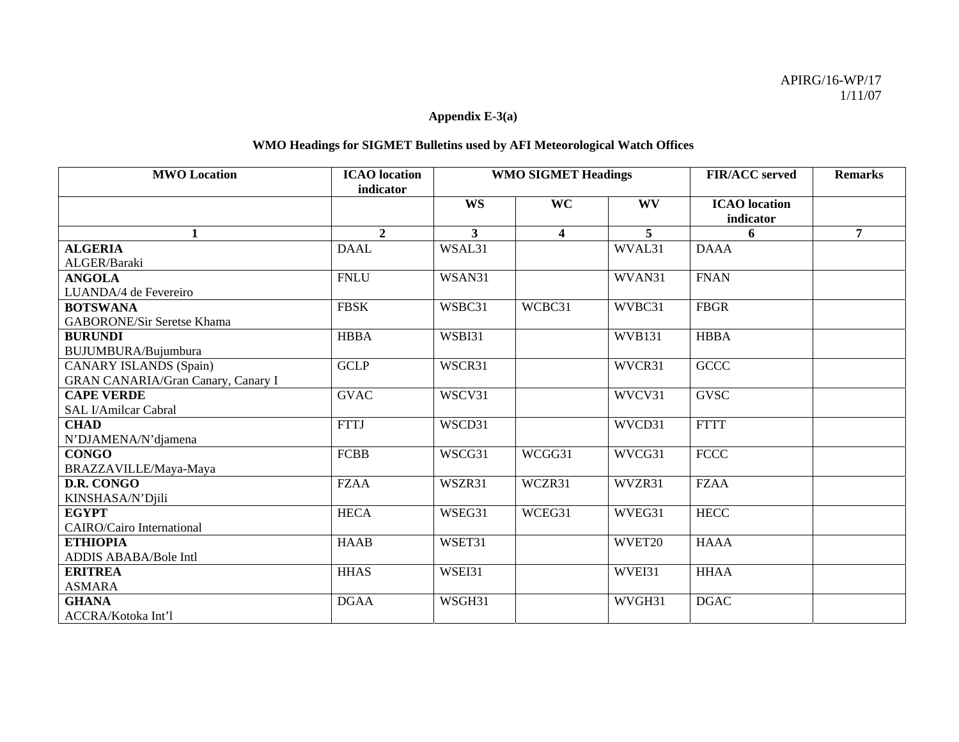## **Appendix E-3(a)**

## **WMO Headings for SIGMET Bulletins used by AFI Meteorological Watch Offices**

| <b>MWO</b> Location                       | <b>ICAO</b> location<br>indicator | <b>WMO SIGMET Headings</b> |                         | <b>FIR/ACC</b> served | <b>Remarks</b>                    |                |
|-------------------------------------------|-----------------------------------|----------------------------|-------------------------|-----------------------|-----------------------------------|----------------|
|                                           |                                   | <b>WS</b>                  | <b>WC</b>               | <b>WV</b>             | <b>ICAO</b> location<br>indicator |                |
| 1                                         | $\overline{2}$                    | 3                          | $\overline{\mathbf{4}}$ | 5                     | 6                                 | $\overline{7}$ |
| <b>ALGERIA</b>                            | <b>DAAL</b>                       | WSAL31                     |                         | WVAL31                | <b>DAAA</b>                       |                |
| ALGER/Baraki                              |                                   |                            |                         |                       |                                   |                |
| <b>ANGOLA</b>                             | <b>FNLU</b>                       | WSAN31                     |                         | WVAN31                | <b>FNAN</b>                       |                |
| LUANDA/4 de Fevereiro                     |                                   |                            |                         |                       |                                   |                |
| <b>BOTSWANA</b>                           | <b>FBSK</b>                       | WSBC31                     | WCBC31                  | WVBC31                | <b>FBGR</b>                       |                |
| <b>GABORONE/Sir Seretse Khama</b>         |                                   |                            |                         |                       |                                   |                |
| <b>BURUNDI</b>                            | <b>HBBA</b>                       | WSBI31                     |                         | <b>WVB131</b>         | <b>HBBA</b>                       |                |
| BUJUMBURA/Bujumbura                       |                                   |                            |                         |                       |                                   |                |
| <b>CANARY ISLANDS (Spain)</b>             | <b>GCLP</b>                       | WSCR31                     |                         | WVCR31                | <b>GCCC</b>                       |                |
| <b>GRAN CANARIA/Gran Canary, Canary I</b> |                                   |                            |                         |                       |                                   |                |
| <b>CAPE VERDE</b>                         | <b>GVAC</b>                       | WSCV31                     |                         | WVCV31                | <b>GVSC</b>                       |                |
| SAL I/Amilcar Cabral                      |                                   |                            |                         |                       |                                   |                |
| <b>CHAD</b>                               | <b>FTTJ</b>                       | WSCD31                     |                         | WVCD31                | <b>FTTT</b>                       |                |
| N'DJAMENA/N'djamena                       |                                   |                            |                         |                       |                                   |                |
| <b>CONGO</b>                              | <b>FCBB</b>                       | WSCG31                     | WCGG31                  | WVCG31                | <b>FCCC</b>                       |                |
| BRAZZAVILLE/Maya-Maya                     |                                   |                            |                         |                       |                                   |                |
| D.R. CONGO                                | <b>FZAA</b>                       | WSZR31                     | WCZR31                  | WVZR31                | <b>FZAA</b>                       |                |
| KINSHASA/N'Djili                          |                                   |                            |                         |                       |                                   |                |
| <b>EGYPT</b>                              | <b>HECA</b>                       | WSEG31                     | WCEG31                  | WVEG31                | <b>HECC</b>                       |                |
| <b>CAIRO/Cairo International</b>          |                                   |                            |                         |                       |                                   |                |
| <b>ETHIOPIA</b>                           | <b>HAAB</b>                       | WSET31                     |                         | WVET20                | <b>HAAA</b>                       |                |
| ADDIS ABABA/Bole Intl                     |                                   |                            |                         |                       |                                   |                |
| <b>ERITREA</b>                            | <b>HHAS</b>                       | WSEI31                     |                         | WVEI31                | <b>HHAA</b>                       |                |
| <b>ASMARA</b>                             |                                   |                            |                         |                       |                                   |                |
| <b>GHANA</b>                              | <b>DGAA</b>                       | WSGH31                     |                         | WVGH31                | <b>DGAC</b>                       |                |
| ACCRA/Kotoka Int'l                        |                                   |                            |                         |                       |                                   |                |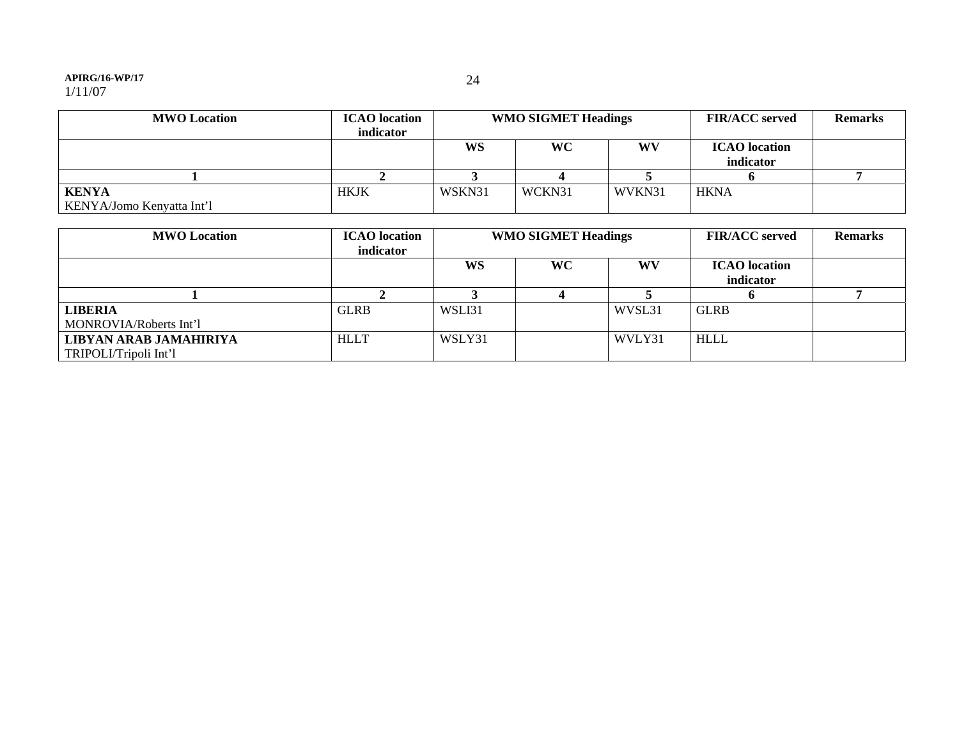#### **APIRG/16-WP/17**

| <b>MWO</b> Location                       | <b>ICAO</b> location<br>indicator | <b>WMO SIGMET Headings</b> |           |        | <b>FIR/ACC</b> served             | <b>Remarks</b> |
|-------------------------------------------|-----------------------------------|----------------------------|-----------|--------|-----------------------------------|----------------|
|                                           |                                   | WS                         | <b>WC</b> | WV     | <b>ICAO</b> location<br>indicator |                |
|                                           |                                   |                            |           |        |                                   |                |
| <b>KENYA</b><br>KENYA/Jomo Kenyatta Int'l | <b>HKJK</b>                       | WSKN31                     | WCKN31    | WVKN31 | <b>HKNA</b>                       |                |

| <b>MWO</b> Location    | <b>ICAO</b> location<br>indicator | <b>WMO SIGMET Headings</b> |    |        | <b>FIR/ACC served</b>             | <b>Remarks</b> |
|------------------------|-----------------------------------|----------------------------|----|--------|-----------------------------------|----------------|
|                        |                                   | <b>WS</b>                  | WC | WV     | <b>ICAO</b> location<br>indicator |                |
|                        |                                   |                            |    |        |                                   |                |
|                        |                                   |                            |    |        |                                   |                |
| <b>LIBERIA</b>         | <b>GLRB</b>                       | WSLI31                     |    | WVSL31 | <b>GLRB</b>                       |                |
| MONROVIA/Roberts Int'l |                                   |                            |    |        |                                   |                |
| LIBYAN ARAB JAMAHIRIYA | <b>HLLT</b>                       | WSLY31                     |    | WVLY31 | <b>HLLL</b>                       |                |
| TRIPOLI/Tripoli Int'l  |                                   |                            |    |        |                                   |                |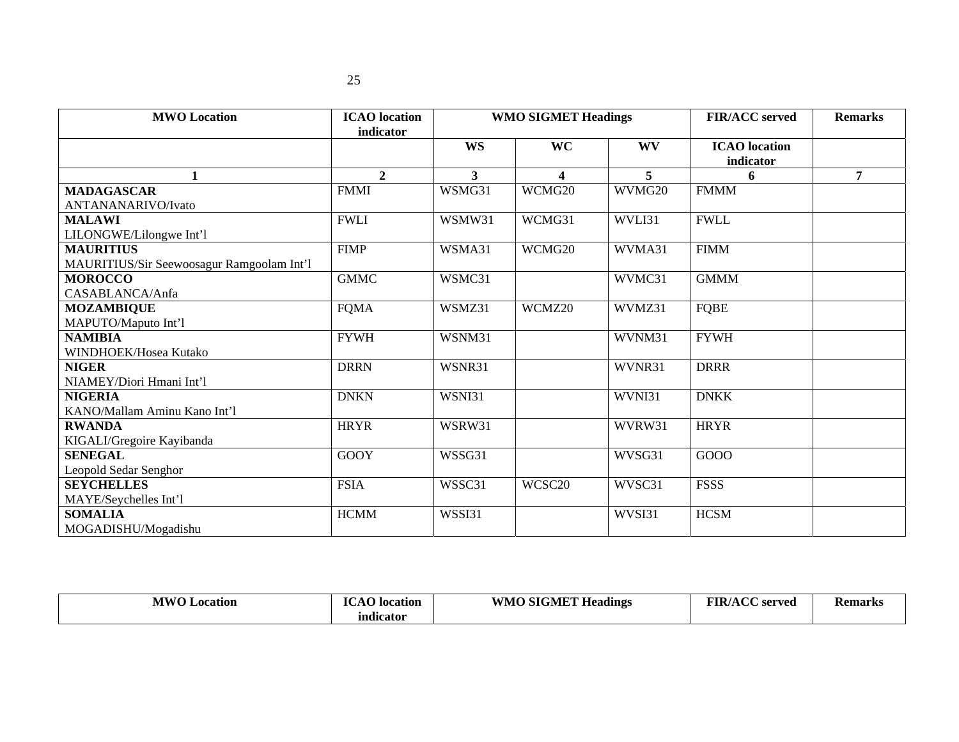| <b>MWO</b> Location                       | <b>ICAO</b> location<br>indicator | <b>WMO SIGMET Headings</b> |                         |           | <b>FIR/ACC</b> served             | <b>Remarks</b> |
|-------------------------------------------|-----------------------------------|----------------------------|-------------------------|-----------|-----------------------------------|----------------|
|                                           |                                   | <b>WS</b>                  | <b>WC</b>               | <b>WV</b> | <b>ICAO</b> location<br>indicator |                |
| $\mathbf{1}$                              | $\mathbf{2}$                      | $\mathbf{3}$               | $\overline{\mathbf{4}}$ | 5         | 6                                 | $\overline{7}$ |
| <b>MADAGASCAR</b>                         | <b>FMMI</b>                       | WSMG31                     | WCMG20                  | WVMG20    | <b>FMMM</b>                       |                |
| ANTANANARIVO/Ivato                        |                                   |                            |                         |           |                                   |                |
| <b>MALAWI</b>                             | <b>FWLI</b>                       | WSMW31                     | WCMG31                  | WVLI31    | <b>FWLL</b>                       |                |
| LILONGWE/Lilongwe Int'l                   |                                   |                            |                         |           |                                   |                |
| <b>MAURITIUS</b>                          | <b>FIMP</b>                       | WSMA31                     | WCMG20                  | WVMA31    | <b>FIMM</b>                       |                |
| MAURITIUS/Sir Seewoosagur Ramgoolam Int'l |                                   |                            |                         |           |                                   |                |
| <b>MOROCCO</b>                            | <b>GMMC</b>                       | WSMC31                     |                         | WVMC31    | <b>GMMM</b>                       |                |
| CASABLANCA/Anfa                           |                                   |                            |                         |           |                                   |                |
| <b>MOZAMBIQUE</b>                         | <b>FQMA</b>                       | WSMZ31                     | WCMZ20                  | WVMZ31    | <b>FQBE</b>                       |                |
| MAPUTO/Maputo Int'l                       |                                   |                            |                         |           |                                   |                |
| <b>NAMIBIA</b>                            | <b>FYWH</b>                       | WSNM31                     |                         | WVNM31    | <b>FYWH</b>                       |                |
| WINDHOEK/Hosea Kutako                     |                                   |                            |                         |           |                                   |                |
| <b>NIGER</b>                              | <b>DRRN</b>                       | WSNR31                     |                         | WVNR31    | <b>DRRR</b>                       |                |
| NIAMEY/Diori Hmani Int'l                  |                                   |                            |                         |           |                                   |                |
| <b>NIGERIA</b>                            | <b>DNKN</b>                       | WSNI31                     |                         | WVNI31    | <b>DNKK</b>                       |                |
| KANO/Mallam Aminu Kano Int'l              |                                   |                            |                         |           |                                   |                |
| <b>RWANDA</b>                             | <b>HRYR</b>                       | WSRW31                     |                         | WVRW31    | <b>HRYR</b>                       |                |
| KIGALI/Gregoire Kayibanda                 |                                   |                            |                         |           |                                   |                |
| <b>SENEGAL</b>                            | <b>GOOY</b>                       | WSSG31                     |                         | WVSG31    | GOOO                              |                |
| Leopold Sedar Senghor                     |                                   |                            |                         |           |                                   |                |
| <b>SEYCHELLES</b>                         | <b>FSIA</b>                       | WSSC31                     | WCSC20                  | WVSC31    | <b>FSSS</b>                       |                |
| MAYE/Seychelles Int'l                     |                                   |                            |                         |           |                                   |                |
| <b>SOMALIA</b>                            | <b>HCMM</b>                       | WSSI31                     |                         | WVSI31    | <b>HCSM</b>                       |                |
| MOGADISHU/Mogadishu                       |                                   |                            |                         |           |                                   |                |

| <b>MWO J</b><br>Location | $\mathbf{I}^{\alpha}$<br>$\cdots$<br>location | WMO SIGMET He.<br>$\mathbf{v}$<br><b>Headings</b> | <b>FIR/ACC</b><br>served | <b>Remarks</b> |
|--------------------------|-----------------------------------------------|---------------------------------------------------|--------------------------|----------------|
|                          | mdicator                                      |                                                   |                          |                |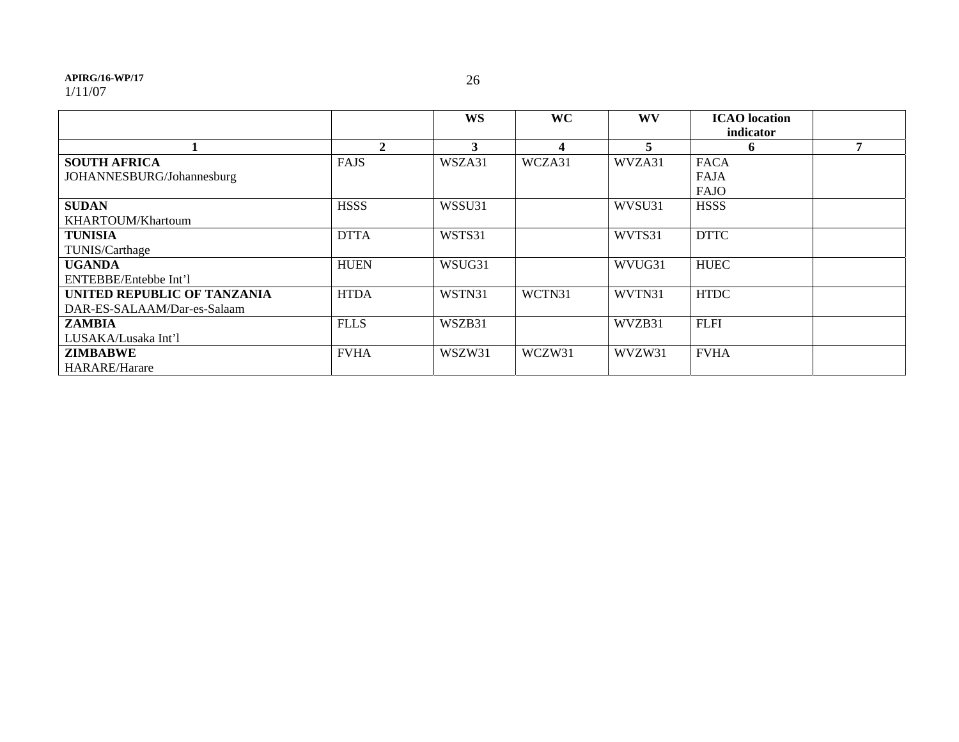#### **APIRG/16-WP/17**

1/11/07

|                             |              | <b>WS</b> | <b>WC</b> | <b>WV</b> | <b>ICAO</b> location |   |
|-----------------------------|--------------|-----------|-----------|-----------|----------------------|---|
|                             |              |           |           |           | indicator            |   |
|                             | $\mathbf{2}$ | 3         | 4         | 5         | n.                   | 7 |
| <b>SOUTH AFRICA</b>         | <b>FAJS</b>  | WSZA31    | WCZA31    | WVZA31    | <b>FACA</b>          |   |
| JOHANNESBURG/Johannesburg   |              |           |           |           | <b>FAJA</b>          |   |
|                             |              |           |           |           | <b>FAJO</b>          |   |
| <b>SUDAN</b>                | <b>HSSS</b>  | WSSU31    |           | WVSU31    | <b>HSSS</b>          |   |
| KHARTOUM/Khartoum           |              |           |           |           |                      |   |
| <b>TUNISIA</b>              | <b>DTTA</b>  | WSTS31    |           | WVTS31    | <b>DTTC</b>          |   |
| TUNIS/Carthage              |              |           |           |           |                      |   |
| <b>UGANDA</b>               | <b>HUEN</b>  | WSUG31    |           | WVUG31    | <b>HUEC</b>          |   |
| ENTEBBE/Entebbe Int'l       |              |           |           |           |                      |   |
| UNITED REPUBLIC OF TANZANIA | <b>HTDA</b>  | WSTN31    | WCTN31    | WVTN31    | <b>HTDC</b>          |   |
| DAR-ES-SALAAM/Dar-es-Salaam |              |           |           |           |                      |   |
| <b>ZAMBIA</b>               | <b>FLLS</b>  | WSZB31    |           | WVZB31    | <b>FLFI</b>          |   |
| LUSAKA/Lusaka Int'l         |              |           |           |           |                      |   |
| <b>ZIMBABWE</b>             | <b>FVHA</b>  | WSZW31    | WCZW31    | WVZW31    | <b>FVHA</b>          |   |
| HARARE/Harare               |              |           |           |           |                      |   |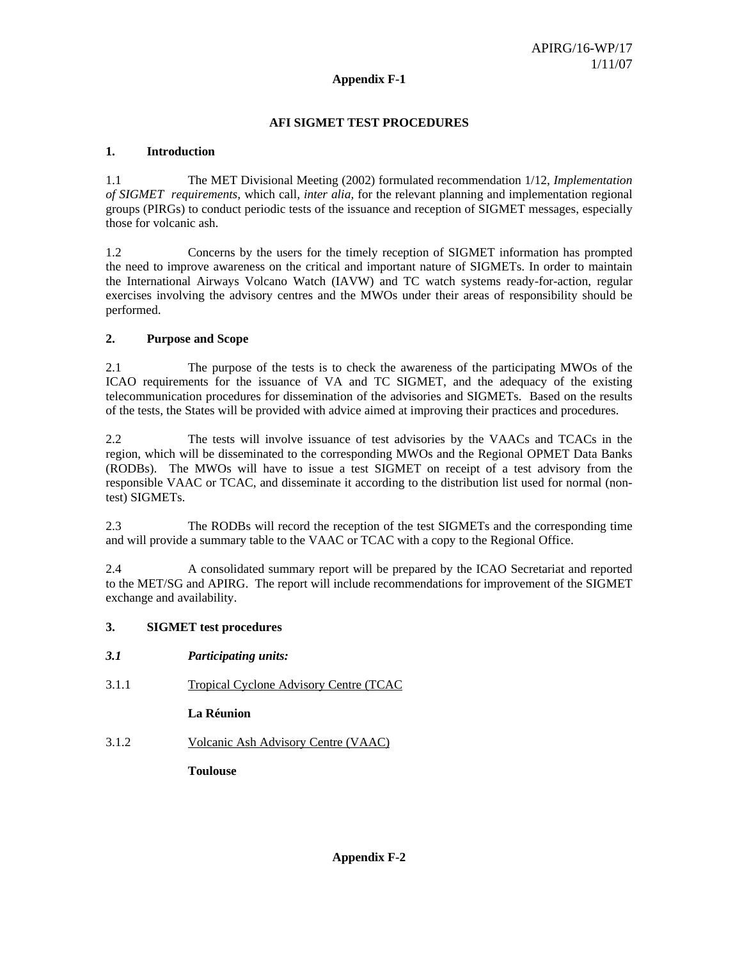## **Appendix F-1**

## **AFI SIGMET TEST PROCEDURES**

## **1. Introduction**

1.1 The MET Divisional Meeting (2002) formulated recommendation 1/12, *Implementation of SIGMET requirements,* which call, *inter alia,* for the relevant planning and implementation regional groups (PIRGs) to conduct periodic tests of the issuance and reception of SIGMET messages, especially those for volcanic ash.

1.2 Concerns by the users for the timely reception of SIGMET information has prompted the need to improve awareness on the critical and important nature of SIGMETs. In order to maintain the International Airways Volcano Watch (IAVW) and TC watch systems ready-for-action, regular exercises involving the advisory centres and the MWOs under their areas of responsibility should be performed.

## **2. Purpose and Scope**

2.1 The purpose of the tests is to check the awareness of the participating MWOs of the ICAO requirements for the issuance of VA and TC SIGMET, and the adequacy of the existing telecommunication procedures for dissemination of the advisories and SIGMETs. Based on the results of the tests, the States will be provided with advice aimed at improving their practices and procedures.

2.2 The tests will involve issuance of test advisories by the VAACs and TCACs in the region, which will be disseminated to the corresponding MWOs and the Regional OPMET Data Banks (RODBs). The MWOs will have to issue a test SIGMET on receipt of a test advisory from the responsible VAAC or TCAC, and disseminate it according to the distribution list used for normal (nontest) SIGMETs.

2.3 The RODBs will record the reception of the test SIGMETs and the corresponding time and will provide a summary table to the VAAC or TCAC with a copy to the Regional Office.

2.4 A consolidated summary report will be prepared by the ICAO Secretariat and reported to the MET/SG and APIRG. The report will include recommendations for improvement of the SIGMET exchange and availability.

## **3. SIGMET test procedures**

- *3.1 Participating units:*
- 3.1.1 Tropical Cyclone Advisory Centre (TCAC

**La Réunion** 

3.1.2 Volcanic Ash Advisory Centre (VAAC)

**Toulouse**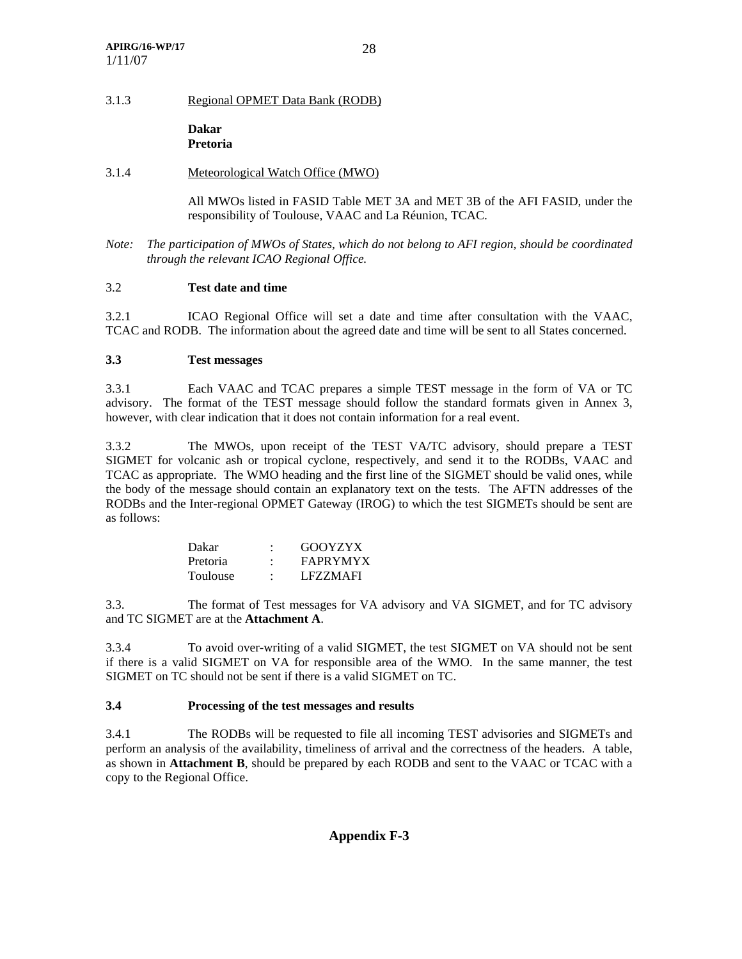#### 3.1.3 Regional OPMET Data Bank (RODB)

**Dakar Pretoria** 

#### 3.1.4 Meteorological Watch Office (MWO)

All MWOs listed in FASID Table MET 3A and MET 3B of the AFI FASID, under the responsibility of Toulouse, VAAC and La Réunion, TCAC.

*Note: The participation of MWOs of States, which do not belong to AFI region, should be coordinated through the relevant ICAO Regional Office.* 

#### 3.2 **Test date and time**

3.2.1 ICAO Regional Office will set a date and time after consultation with the VAAC, TCAC and RODB. The information about the agreed date and time will be sent to all States concerned.

#### **3.3 Test messages**

3.3.1 Each VAAC and TCAC prepares a simple TEST message in the form of VA or TC advisory. The format of the TEST message should follow the standard formats given in Annex 3, however, with clear indication that it does not contain information for a real event.

3.3.2 The MWOs, upon receipt of the TEST VA/TC advisory, should prepare a TEST SIGMET for volcanic ash or tropical cyclone, respectively, and send it to the RODBs, VAAC and TCAC as appropriate. The WMO heading and the first line of the SIGMET should be valid ones, while the body of the message should contain an explanatory text on the tests. The AFTN addresses of the RODBs and the Inter-regional OPMET Gateway (IROG) to which the test SIGMETs should be sent are as follows:

| Dakar    | GOOYZYX         |
|----------|-----------------|
| Pretoria | <b>FAPRYMYX</b> |
| Toulouse | LFZZMAFI        |

3.3. The format of Test messages for VA advisory and VA SIGMET, and for TC advisory and TC SIGMET are at the **Attachment A**.

3.3.4 To avoid over-writing of a valid SIGMET, the test SIGMET on VA should not be sent if there is a valid SIGMET on VA for responsible area of the WMO. In the same manner, the test SIGMET on TC should not be sent if there is a valid SIGMET on TC.

#### **3.4 Processing of the test messages and results**

3.4.1 The RODBs will be requested to file all incoming TEST advisories and SIGMETs and perform an analysis of the availability, timeliness of arrival and the correctness of the headers. A table, as shown in **Attachment B**, should be prepared by each RODB and sent to the VAAC or TCAC with a copy to the Regional Office.

## **Appendix F-3**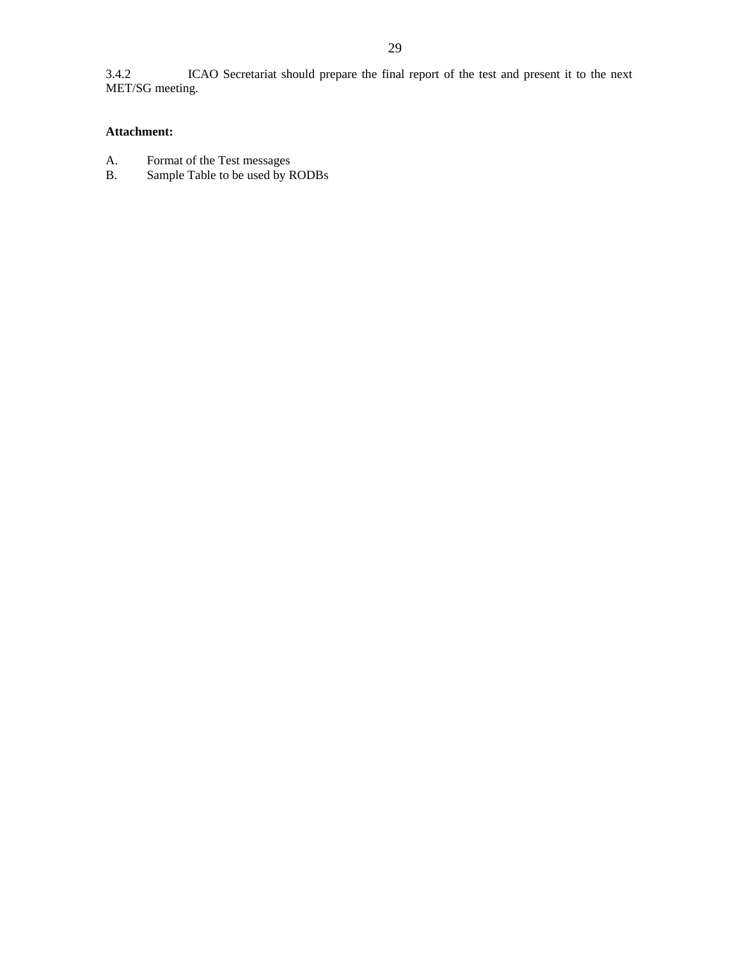3.4.2 ICAO Secretariat should prepare the final report of the test and present it to the next MET/SG meeting.

## **Attachment:**

- 
- A. Format of the Test messages<br>B. Sample Table to be used by F Sample Table to be used by RODBs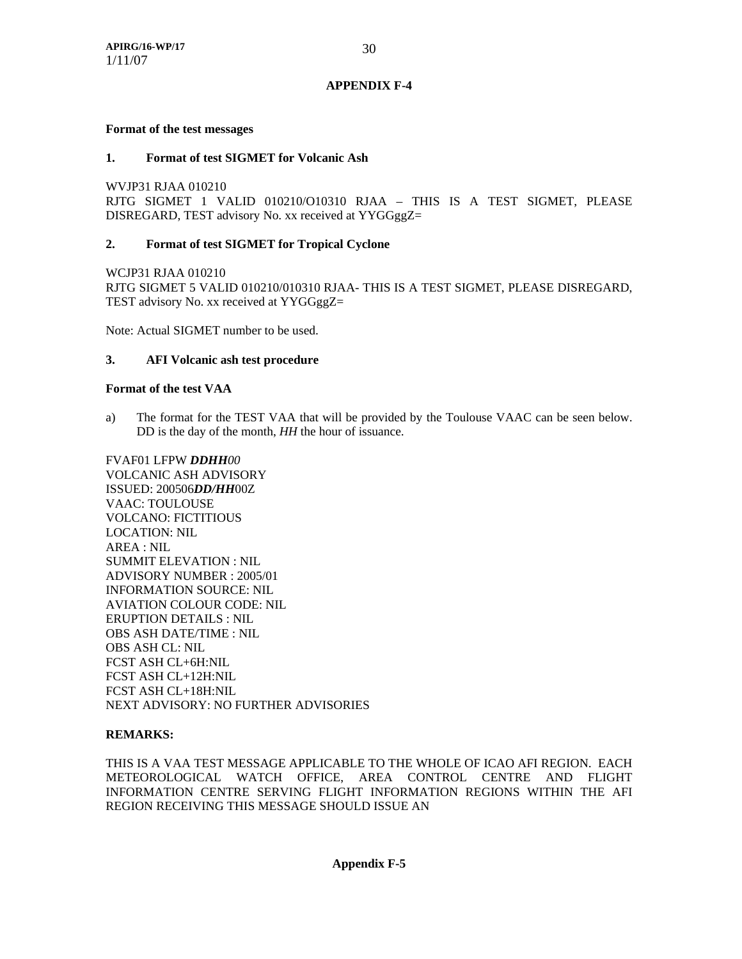#### **Format of the test messages**

#### **1. Format of test SIGMET for Volcanic Ash**

WVJP31 RJAA 010210

RJTG SIGMET 1 VALID 010210/O10310 RJAA – THIS IS A TEST SIGMET, PLEASE DISREGARD, TEST advisory No. xx received at YYGGggZ=

## **2. Format of test SIGMET for Tropical Cyclone**

WCJP31 RJAA 010210 RJTG SIGMET 5 VALID 010210/010310 RJAA- THIS IS A TEST SIGMET, PLEASE DISREGARD, TEST advisory No. xx received at YYGGggZ=

Note: Actual SIGMET number to be used.

## **3. AFI Volcanic ash test procedure**

#### **Format of the test VAA**

a) The format for the TEST VAA that will be provided by the Toulouse VAAC can be seen below. DD is the day of the month, *HH* the hour of issuance.

FVAF01 LFPW *DDHH00*  VOLCANIC ASH ADVISORY ISSUED: 200506*DD/HH*00Z VAAC: TOULOUSE VOLCANO: FICTITIOUS LOCATION: NIL AREA : NIL SUMMIT ELEVATION : NIL ADVISORY NUMBER : 2005/01 INFORMATION SOURCE: NIL AVIATION COLOUR CODE: NIL ERUPTION DETAILS : NIL OBS ASH DATE/TIME : NIL OBS ASH CL: NIL FCST ASH CL+6H:NIL FCST ASH CL+12H:NIL FCST ASH CL+18H:NIL NEXT ADVISORY: NO FURTHER ADVISORIES

#### **REMARKS:**

THIS IS A VAA TEST MESSAGE APPLICABLE TO THE WHOLE OF ICAO AFI REGION. EACH METEOROLOGICAL WATCH OFFICE, AREA CONTROL CENTRE AND FLIGHT INFORMATION CENTRE SERVING FLIGHT INFORMATION REGIONS WITHIN THE AFI REGION RECEIVING THIS MESSAGE SHOULD ISSUE AN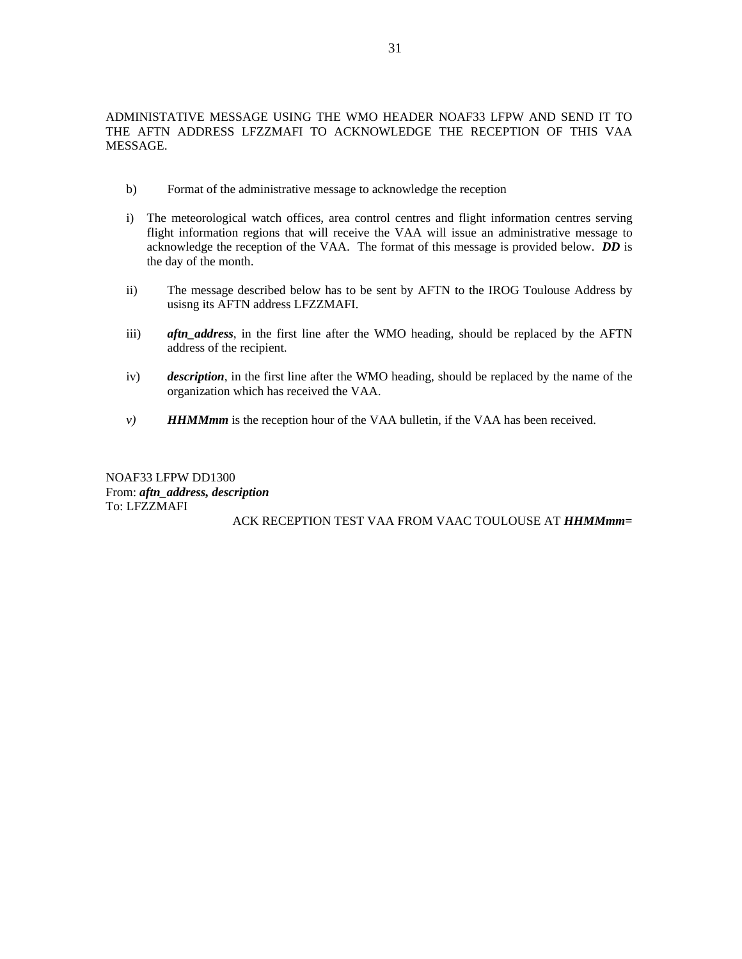- b) Format of the administrative message to acknowledge the reception
- i) The meteorological watch offices, area control centres and flight information centres serving flight information regions that will receive the VAA will issue an administrative message to acknowledge the reception of the VAA. The format of this message is provided below. *DD* is the day of the month.
- ii) The message described below has to be sent by AFTN to the IROG Toulouse Address by usisng its AFTN address LFZZMAFI.
- iii) *aftn\_address*, in the first line after the WMO heading, should be replaced by the AFTN address of the recipient.
- iv) *description*, in the first line after the WMO heading, should be replaced by the name of the organization which has received the VAA.
- *v*) *HHMMmm* is the reception hour of the VAA bulletin, if the VAA has been received.

NOAF33 LFPW DD1300 From: *aftn\_address, description* To: LFZZMAFI

ACK RECEPTION TEST VAA FROM VAAC TOULOUSE AT *HHMMmm=*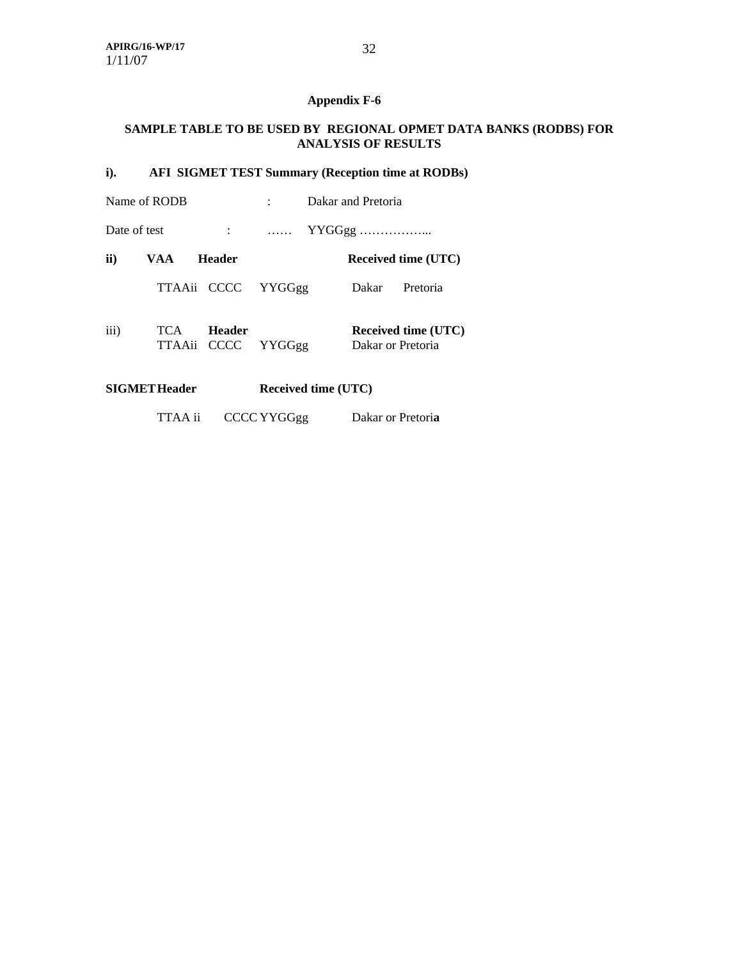## **Appendix F-6**

## **SAMPLE TABLE TO BE USED BY REGIONAL OPMET DATA BANKS (RODBS) FOR ANALYSIS OF RESULTS**

## **i). AFI SIGMET TEST Summary (Reception time at RODBs)**

|              | Name of RODB        |                              | Dakar and Pretoria                                                        |                            |                   |                            |
|--------------|---------------------|------------------------------|---------------------------------------------------------------------------|----------------------------|-------------------|----------------------------|
| Date of test |                     |                              | YYGGgg<br>$\mathbf{r}$ . The set of $\mathbf{r}$ is a set of $\mathbf{r}$ |                            |                   |                            |
| ii)          | VAA.                | <b>Header</b>                |                                                                           |                            |                   | <b>Received time (UTC)</b> |
|              | TTAAii CCCC         |                              | YYGGgg                                                                    |                            | Dakar             | Pretoria                   |
| iii)         | TCA                 | Header<br>TTAAii CCCC YYGGgg |                                                                           |                            | Dakar or Pretoria | <b>Received time (UTC)</b> |
|              | <b>SIGMETHeader</b> |                              |                                                                           | <b>Received time (UTC)</b> |                   |                            |

TTAA ii CCCC YYGGgg Dakar or Pretori**a**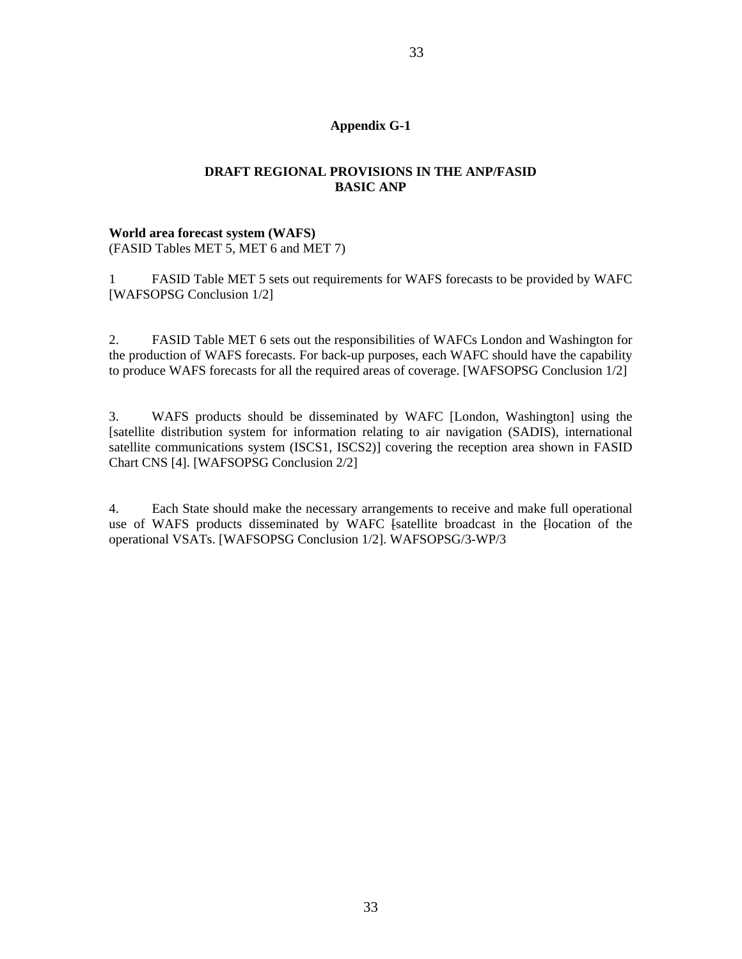## **Appendix G-1**

## **DRAFT REGIONAL PROVISIONS IN THE ANP/FASID BASIC ANP**

# **World area forecast system (WAFS)**

(FASID Tables MET 5, MET 6 and MET 7)

1 FASID Table MET 5 sets out requirements for WAFS forecasts to be provided by WAFC [WAFSOPSG Conclusion 1/2]

2. FASID Table MET 6 sets out the responsibilities of WAFCs London and Washington for the production of WAFS forecasts. For back-up purposes, each WAFC should have the capability to produce WAFS forecasts for all the required areas of coverage. [WAFSOPSG Conclusion 1/2]

3. WAFS products should be disseminated by WAFC [London, Washington] using the [satellite distribution system for information relating to air navigation (SADIS), international satellite communications system (ISCS1, ISCS2)] covering the reception area shown in FASID Chart CNS [4]. [WAFSOPSG Conclusion 2/2]

4. Each State should make the necessary arrangements to receive and make full operational use of WAFS products disseminated by WAFC [satellite broadcast in the [location of the operational VSATs. [WAFSOPSG Conclusion 1/2]. WAFSOPSG/3-WP/3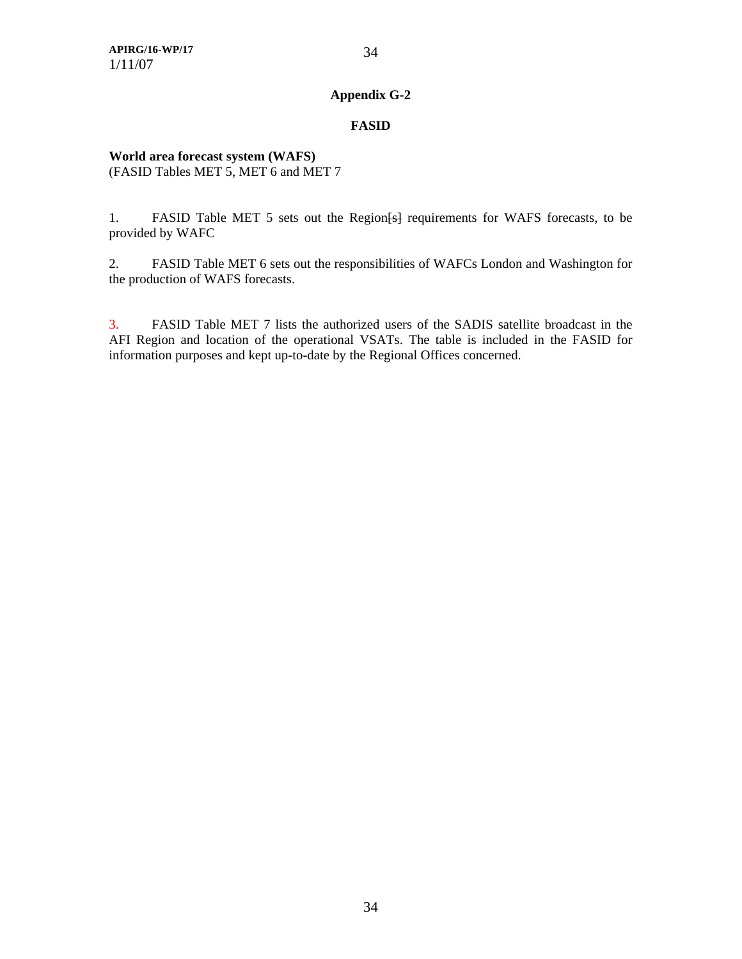## **FASID**

## **World area forecast system (WAFS)**  (FASID Tables MET 5, MET 6 and MET 7

1. FASID Table MET 5 sets out the Region [st ] requirements for WAFS forecasts, to be provided by WAFC

2. FASID Table MET 6 sets out the responsibilities of WAFCs London and Washington for the production of WAFS forecasts.

3. FASID Table MET 7 lists the authorized users of the SADIS satellite broadcast in the AFI Region and location of the operational VSATs. The table is included in the FASID for information purposes and kept up-to-date by the Regional Offices concerned.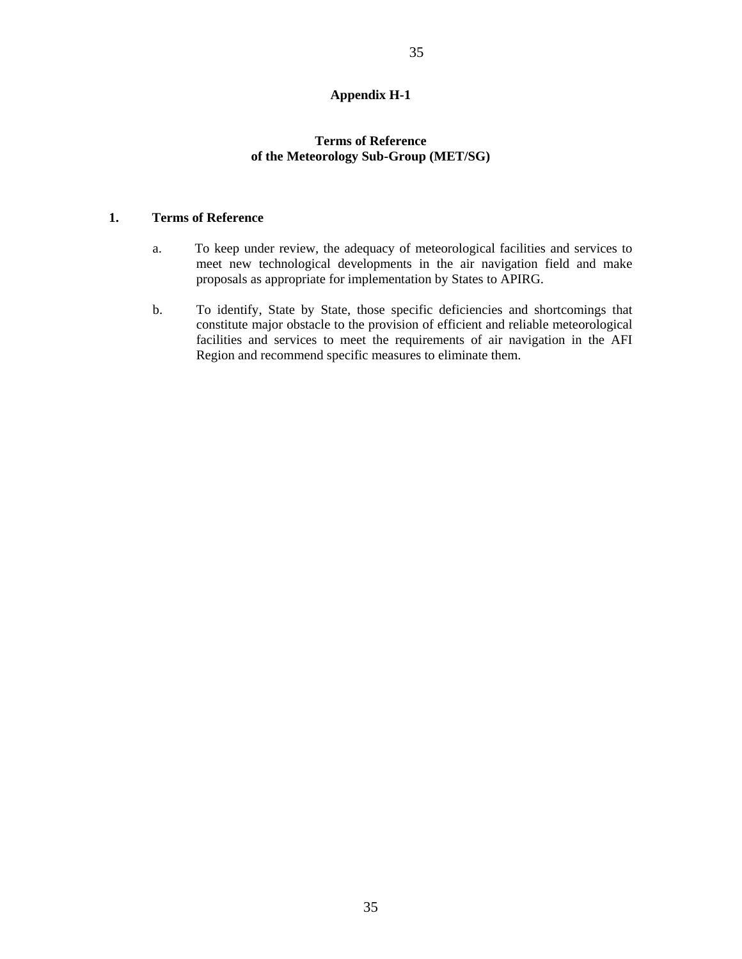## **Appendix H-1**

## **Terms of Reference of the Meteorology Sub-Group (MET/SG)**

## **1. Terms of Reference**

- a. To keep under review, the adequacy of meteorological facilities and services to meet new technological developments in the air navigation field and make proposals as appropriate for implementation by States to APIRG.
- b. To identify, State by State, those specific deficiencies and shortcomings that constitute major obstacle to the provision of efficient and reliable meteorological facilities and services to meet the requirements of air navigation in the AFI Region and recommend specific measures to eliminate them.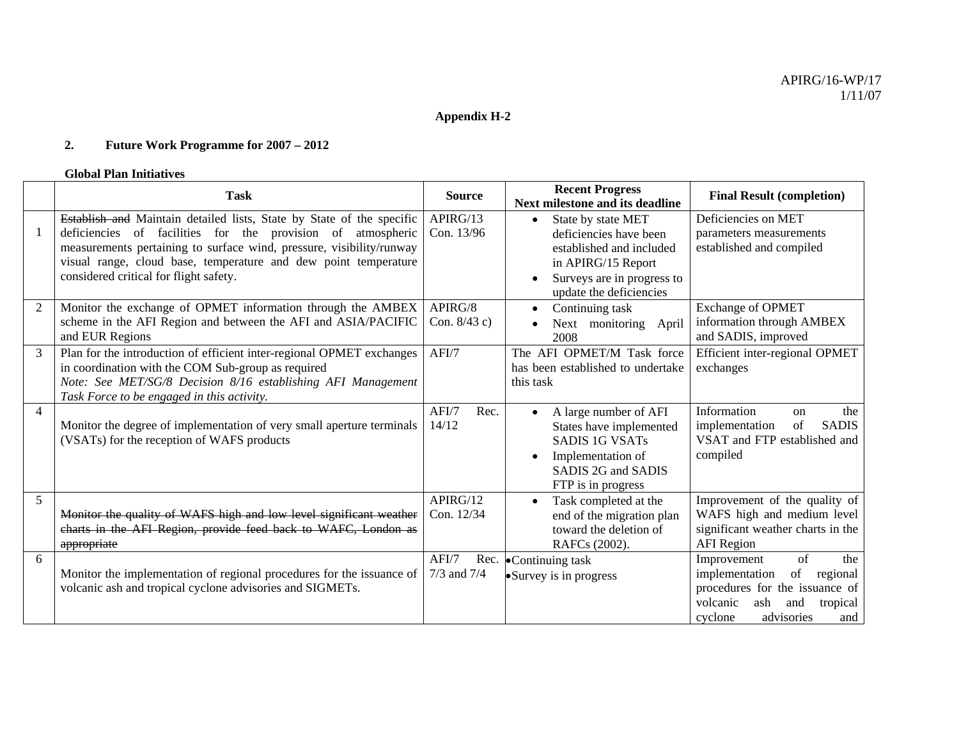## **Appendix H-2**

#### **2.Future Work Programme for 2007 – 2012**

#### **Global Plan Initiatives**

|                | <b>Task</b>                                                                                                                                                                                                                                                                                                               | <b>Source</b>            | <b>Recent Progress</b><br>Next milestone and its deadline                                                                                                            | <b>Final Result (completion)</b>                                                                                                                                     |
|----------------|---------------------------------------------------------------------------------------------------------------------------------------------------------------------------------------------------------------------------------------------------------------------------------------------------------------------------|--------------------------|----------------------------------------------------------------------------------------------------------------------------------------------------------------------|----------------------------------------------------------------------------------------------------------------------------------------------------------------------|
|                | Establish and Maintain detailed lists, State by State of the specific<br>deficiencies of facilities for the provision of atmospheric<br>measurements pertaining to surface wind, pressure, visibility/runway<br>visual range, cloud base, temperature and dew point temperature<br>considered critical for flight safety. | APIRG/13<br>Con. 13/96   | State by state MET<br>$\bullet$<br>deficiencies have been<br>established and included<br>in APIRG/15 Report<br>Surveys are in progress to<br>update the deficiencies | Deficiencies on MET<br>parameters measurements<br>established and compiled                                                                                           |
|                | Monitor the exchange of OPMET information through the AMBEX<br>scheme in the AFI Region and between the AFI and ASIA/PACIFIC<br>and EUR Regions                                                                                                                                                                           | APIRG/8<br>Con. 8/43 c)  | Continuing task<br>$\bullet$<br>Next monitoring April<br>2008                                                                                                        | <b>Exchange of OPMET</b><br>information through AMBEX<br>and SADIS, improved                                                                                         |
| 3              | Plan for the introduction of efficient inter-regional OPMET exchanges<br>in coordination with the COM Sub-group as required<br>Note: See MET/SG/8 Decision 8/16 establishing AFI Management<br>Task Force to be engaged in this activity.                                                                                 | AFI/7                    | The AFI OPMET/M Task force<br>has been established to undertake<br>this task                                                                                         | Efficient inter-regional OPMET<br>exchanges                                                                                                                          |
| $\overline{4}$ | Monitor the degree of implementation of very small aperture terminals<br>(VSATs) for the reception of WAFS products                                                                                                                                                                                                       | AFI/7<br>Rec.<br>14/12   | A large number of AFI<br>$\bullet$<br>States have implemented<br><b>SADIS 1G VSATs</b><br>Implementation of<br>$\bullet$<br>SADIS 2G and SADIS<br>FTP is in progress | Information<br>the<br>on<br>implementation<br>of<br><b>SADIS</b><br>VSAT and FTP established and<br>compiled                                                         |
| 5              | Monitor the quality of WAFS high and low level significant weather<br>charts in the AFI Region, provide feed back to WAFC, London as<br>appropriate                                                                                                                                                                       | APIRG/12<br>Con. 12/34   | Task completed at the<br>$\bullet$<br>end of the migration plan<br>toward the deletion of<br>RAFCs (2002).                                                           | Improvement of the quality of<br>WAFS high and medium level<br>significant weather charts in the<br><b>AFI</b> Region                                                |
| 6              | Monitor the implementation of regional procedures for the issuance of<br>volcanic ash and tropical cyclone advisories and SIGMETs.                                                                                                                                                                                        | AFI/7<br>$7/3$ and $7/4$ | Rec. $\bullet$ Continuing task<br>• Survey is in progress                                                                                                            | of<br>Improvement<br>the<br>implementation<br>of<br>regional<br>procedures for the issuance of<br>volcanic<br>ash<br>and<br>tropical<br>advisories<br>cyclone<br>and |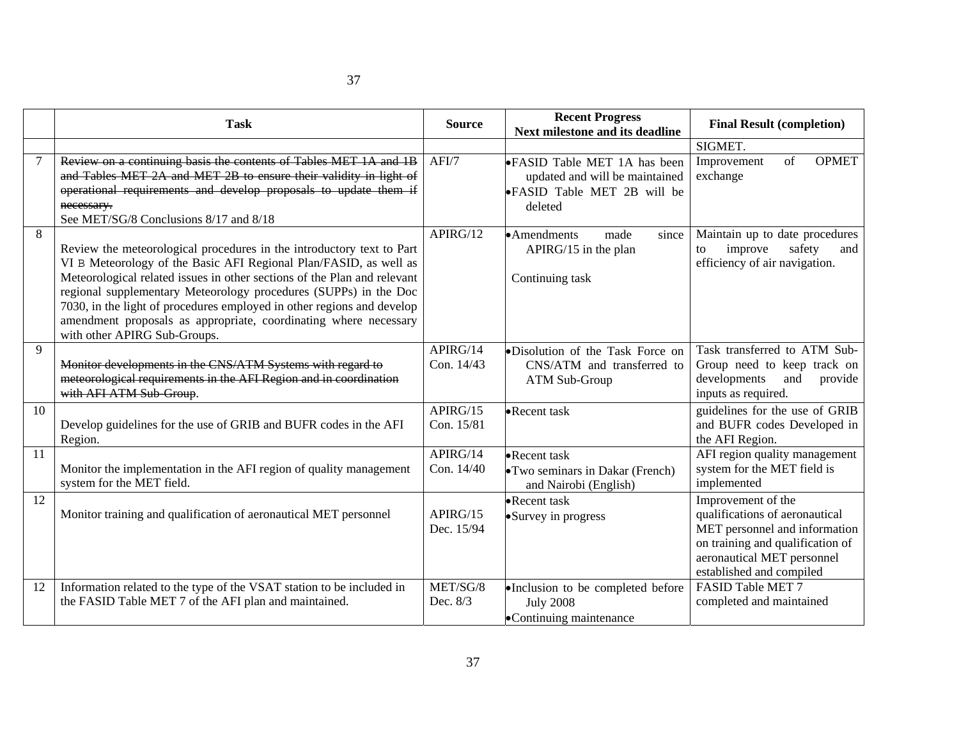|    | <b>Task</b>                                                                                                                                                                                                                                                                                                                                                                                                                                                              | <b>Source</b>          | <b>Recent Progress</b><br>Next milestone and its deadline                                                       | <b>Final Result (completion)</b>                                                                                                                                                    |  |
|----|--------------------------------------------------------------------------------------------------------------------------------------------------------------------------------------------------------------------------------------------------------------------------------------------------------------------------------------------------------------------------------------------------------------------------------------------------------------------------|------------------------|-----------------------------------------------------------------------------------------------------------------|-------------------------------------------------------------------------------------------------------------------------------------------------------------------------------------|--|
|    |                                                                                                                                                                                                                                                                                                                                                                                                                                                                          |                        |                                                                                                                 | SIGMET.                                                                                                                                                                             |  |
|    | Review on a continuing basis the contents of Tables MET 1A and 1B<br>and Tables MET 2A and MET 2B to ensure their validity in light of<br>operational requirements and develop proposals to update them if<br>necessary.<br>See MET/SG/8 Conclusions 8/17 and 8/18                                                                                                                                                                                                       | AFI/7                  | •FASID Table MET 1A has been<br>updated and will be maintained<br><b>•FASID Table MET 2B will be</b><br>deleted | of<br><b>OPMET</b><br>Improvement<br>exchange                                                                                                                                       |  |
| 8  | Review the meteorological procedures in the introductory text to Part<br>VI B Meteorology of the Basic AFI Regional Plan/FASID, as well as<br>Meteorological related issues in other sections of the Plan and relevant<br>regional supplementary Meteorology procedures (SUPPs) in the Doc<br>7030, in the light of procedures employed in other regions and develop<br>amendment proposals as appropriate, coordinating where necessary<br>with other APIRG Sub-Groups. | APIRG/12               | • Amendments<br>made<br>since<br>APIRG/15 in the plan<br>Continuing task                                        | Maintain up to date procedures<br>safety<br>improve<br>and<br>to<br>efficiency of air navigation.                                                                                   |  |
| 9  | Monitor developments in the CNS/ATM Systems with regard to<br>meteorological requirements in the AFI Region and in coordination<br>with AFI ATM Sub-Group.                                                                                                                                                                                                                                                                                                               | APIRG/14<br>Con. 14/43 | •Disolution of the Task Force on<br>CNS/ATM and transferred to<br>ATM Sub-Group                                 | Task transferred to ATM Sub-<br>Group need to keep track on<br>developments<br>and<br>provide<br>inputs as required.                                                                |  |
| 10 | Develop guidelines for the use of GRIB and BUFR codes in the AFI<br>Region.                                                                                                                                                                                                                                                                                                                                                                                              | APIRG/15<br>Con. 15/81 | •Recent task                                                                                                    | guidelines for the use of GRIB<br>and BUFR codes Developed in<br>the AFI Region.                                                                                                    |  |
| 11 | Monitor the implementation in the AFI region of quality management<br>system for the MET field.                                                                                                                                                                                                                                                                                                                                                                          | APIRG/14<br>Con. 14/40 | •Recent task<br>• Two seminars in Dakar (French)<br>and Nairobi (English)                                       | AFI region quality management<br>system for the MET field is<br>implemented                                                                                                         |  |
| 12 | Monitor training and qualification of aeronautical MET personnel                                                                                                                                                                                                                                                                                                                                                                                                         | APIRG/15<br>Dec. 15/94 | •Recent task<br>• Survey in progress                                                                            | Improvement of the<br>qualifications of aeronautical<br>MET personnel and information<br>on training and qualification of<br>aeronautical MET personnel<br>established and compiled |  |
| 12 | Information related to the type of the VSAT station to be included in<br>the FASID Table MET 7 of the AFI plan and maintained.                                                                                                                                                                                                                                                                                                                                           | MET/SG/8<br>Dec. 8/3   | •Inclusion to be completed before<br><b>July 2008</b><br>•Continuing maintenance                                | FASID Table MET 7<br>completed and maintained                                                                                                                                       |  |